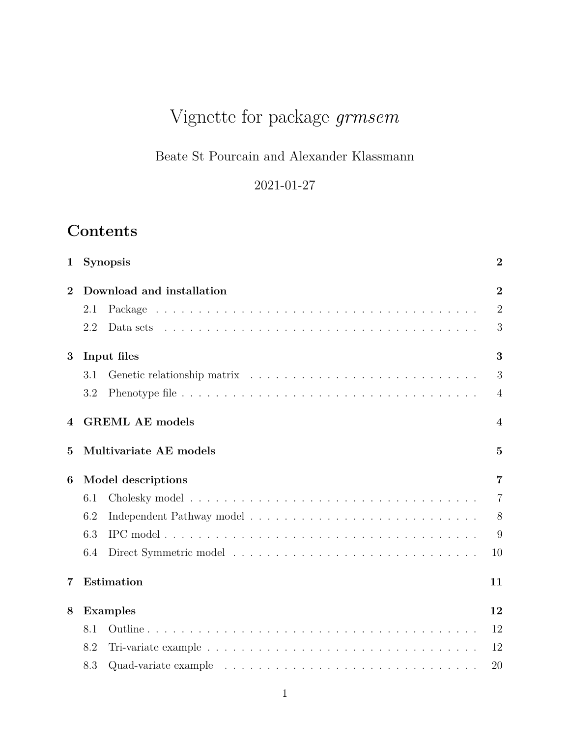# Vignette for package *grmsem*

# Beate St Pourcain and Alexander Klassmann

2021-01-27

# **Contents**

| $\mathbf 1$    |     | <b>Synopsis</b>           | $\overline{2}$          |
|----------------|-----|---------------------------|-------------------------|
| $\overline{2}$ |     | Download and installation | $\overline{2}$          |
|                | 2.1 |                           | $\overline{2}$          |
|                | 2.2 |                           | 3                       |
| 3              |     | Input files               | 3                       |
|                | 3.1 |                           | 3                       |
|                | 3.2 |                           | $\overline{4}$          |
| 4              |     | <b>GREML AE models</b>    | $\overline{\mathbf{4}}$ |
| $\mathbf{5}$   |     | Multivariate AE models    | $\overline{5}$          |
| 6              |     | Model descriptions        | $\overline{7}$          |
|                | 6.1 |                           | $\overline{7}$          |
|                | 6.2 |                           | 8                       |
|                | 6.3 |                           | 9                       |
|                | 6.4 |                           | 10                      |
| $\overline{7}$ |     | Estimation                | 11                      |
| 8              |     | <b>Examples</b>           | 12                      |
|                | 8.1 |                           | 12                      |
|                | 8.2 |                           | 12                      |
|                | 8.3 |                           | 20                      |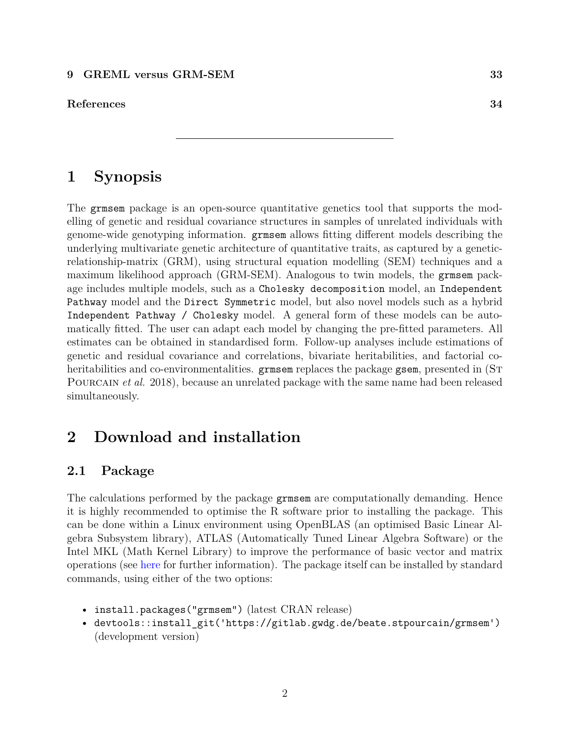**[References](#page-33-0) 34**

# <span id="page-1-0"></span>**1 Synopsis**

The grmsem package is an open-source quantitative genetics tool that supports the modelling of genetic and residual covariance structures in samples of unrelated individuals with genome-wide genotyping information. grmsem allows fitting different models describing the underlying multivariate genetic architecture of quantitative traits, as captured by a geneticrelationship-matrix (GRM), using structural equation modelling (SEM) techniques and a maximum likelihood approach (GRM-SEM). Analogous to twin models, the grmsem package includes multiple models, such as a Cholesky decomposition model, an Independent Pathway model and the Direct Symmetric model, but also novel models such as a hybrid Independent Pathway / Cholesky model. A general form of these models can be automatically fitted. The user can adapt each model by changing the pre-fitted parameters. All estimates can be obtained in standardised form. Follow-up analyses include estimations of genetic and residual covariance and correlations, bivariate heritabilities, and factorial coheritabilities and co-environmentalities. grms em replaces the package gsem, presented in (ST POURCAIN *et al.* 2018), because an unrelated package with the same name had been released simultaneously.

# <span id="page-1-1"></span>**2 Download and installation**

## <span id="page-1-2"></span>**2.1 Package**

The calculations performed by the package grmsem are computationally demanding. Hence it is highly recommended to optimise the R software prior to installing the package. This can be done within a Linux environment using OpenBLAS (an optimised Basic Linear Algebra Subsystem library), ATLAS (Automatically Tuned Linear Algebra Software) or the Intel MKL (Math Kernel Library) to improve the performance of basic vector and matrix operations (see [here](https://csantill.github.io/RPerformanceWBLAS/) for further information). The package itself can be installed by standard commands, using either of the two options:

- install.packages("grmsem") (latest CRAN release)
- devtools::install\_git('https://gitlab.gwdg.de/beate.stpourcain/grmsem') (development version)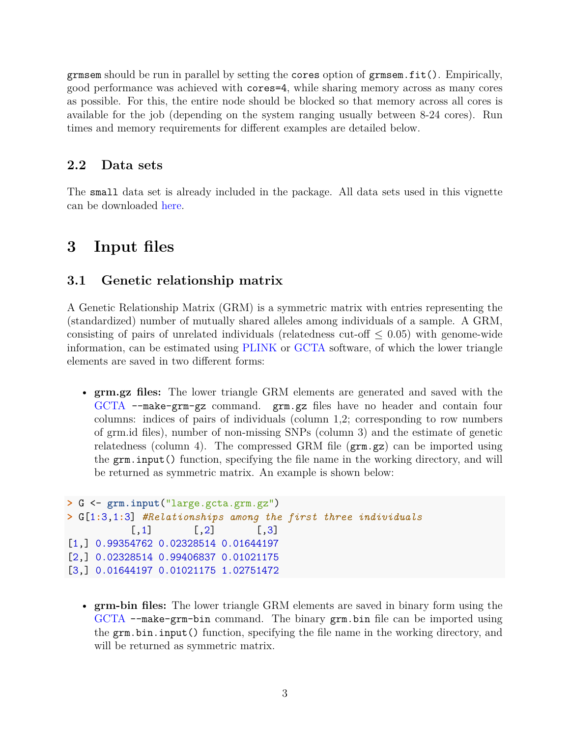grmsem should be run in parallel by setting the cores option of grmsem.fit(). Empirically, good performance was achieved with cores=4, while sharing memory across as many cores as possible. For this, the entire node should be blocked so that memory across all cores is available for the job (depending on the system ranging usually between 8-24 cores). Run times and memory requirements for different examples are detailed below.

## <span id="page-2-0"></span>**2.2 Data sets**

The small data set is already included in the package. All data sets used in this vignette can be downloaded [here.](https://gitlab.gwdg.de/beate.stpourcain/grmsem_external)

# <span id="page-2-1"></span>**3 Input files**

## <span id="page-2-2"></span>**3.1 Genetic relationship matrix**

A Genetic Relationship Matrix (GRM) is a symmetric matrix with entries representing the (standardized) number of mutually shared alleles among individuals of a sample. A GRM, consisting of pairs of unrelated individuals (relatedness cut-off  $\leq$  0.05) with genome-wide information, can be estimated using [PLINK](https://www.cog-genomics.org/plink2) or [GCTA](https://cnsgenomics.com/software/gcta/#Overview) software, of which the lower triangle elements are saved in two different forms:

• **grm.gz files:** The lower triangle GRM elements are generated and saved with the [GCTA](https://cnsgenomics.com/software/gcta/#Overview) --make-grm-gz command. grm.gz files have no header and contain four columns: indices of pairs of individuals (column 1,2; corresponding to row numbers of grm.id files), number of non-missing SNPs (column 3) and the estimate of genetic relatedness (column 4). The compressed GRM file  $(\text{grm.gz})$  can be imported using the grm.input() function, specifying the file name in the working directory, and will be returned as symmetric matrix. An example is shown below:

```
> G <- grm.input("large.gcta.grm.gz")
> G[1:3,1:3] #Relationships among the first three individuals
          [,1] [,2] [,3]
[1,] 0.99354762 0.02328514 0.01644197
[2,] 0.02328514 0.99406837 0.01021175
[3,] 0.01644197 0.01021175 1.02751472
```
• **grm-bin files:** The lower triangle GRM elements are saved in binary form using the [GCTA](https://cnsgenomics.com/software/gcta/#Overview) --make-grm-bin command. The binary grm.bin file can be imported using the grm.bin.input() function, specifying the file name in the working directory, and will be returned as symmetric matrix.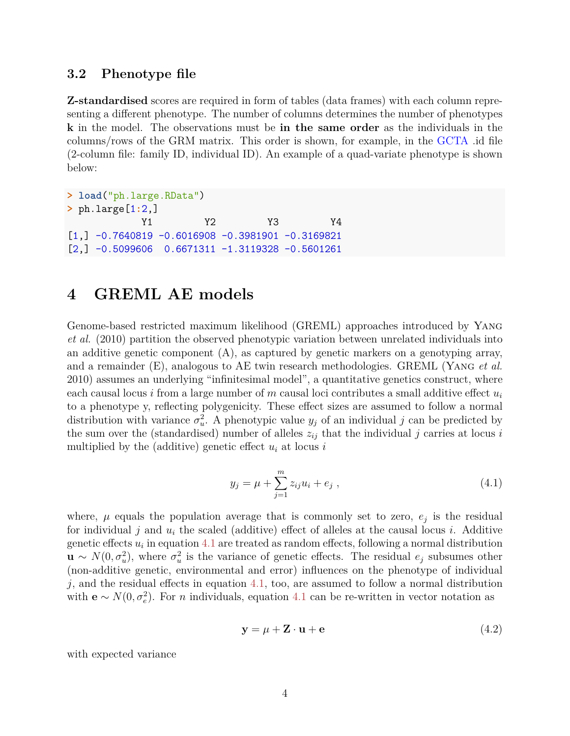## <span id="page-3-0"></span>**3.2 Phenotype file**

**Z-standardised** scores are required in form of tables (data frames) with each column representing a different phenotype. The number of columns determines the number of phenotypes **k** in the model. The observations must be **in the same order** as the individuals in the columns/rows of the GRM matrix. This order is shown, for example, in the [GCTA](https://cnsgenomics.com/software/gcta/#Overview) .id file (2-column file: family ID, individual ID). An example of a quad-variate phenotype is shown below:

**> load**("ph.large.RData") **>** ph.large[1**:**2,] Y1 Y2 Y3 Y4  $[1,] -0.7640819 -0.6016908 -0.3981901 -0.3169821$  $[2, ] -0.5099606 0.6671311 -1.3119328 -0.5601261$ 

# <span id="page-3-1"></span>**4 GREML AE models**

Genome-based restricted maximum likelihood (GREML) approaches introduced by Yang *et al.* (2010) partition the observed phenotypic variation between unrelated individuals into an additive genetic component  $(A)$ , as captured by genetic markers on a genotyping array, and a remainder (E), analogous to AE twin research methodologies. GREML (Yang *et al.* 2010) assumes an underlying "infinitesimal model", a quantitative genetics construct, where each causal locus *i* from a large number of *m* causal loci contributes a small additive effect *u<sup>i</sup>* to a phenotype y, reflecting polygenicity. These effect sizes are assumed to follow a normal distribution with variance  $\sigma_u^2$  $u^2$ . A phenotypic value  $y_j$  of an individual *j* can be predicted by the sum over the (standardised) number of alleles  $z_{ij}$  that the individual *j* carries at locus *i* multiplied by the (additive) genetic effect  $u_i$  at locus  $i$ 

<span id="page-3-2"></span>
$$
y_j = \mu + \sum_{j=1}^{m} z_{ij} u_i + e_j , \qquad (4.1)
$$

where,  $\mu$  equals the population average that is commonly set to zero,  $e_j$  is the residual for individual  $j$  and  $u_i$  the scaled (additive) effect of alleles at the causal locus  $i$ . Additive genetic effects  $u_i$  in equation [4.1](#page-3-2) are treated as random effects, following a normal distribution  $\mathbf{u} \sim N(0, \sigma_u^2)$ , where  $\sigma_u^2$  $u<sub>u</sub><sup>2</sup>$  is the variance of genetic effects. The residual  $e_j$  subsumes other (non-additive genetic, environmental and error) influences on the phenotype of individual *j*, and the residual effects in equation [4.1,](#page-3-2) too, are assumed to follow a normal distribution with  $\mathbf{e} \sim N(0, \sigma_e^2)$ . For *n* individuals, equation [4.1](#page-3-2) can be re-written in vector notation as

$$
y = \mu + Z \cdot u + e \tag{4.2}
$$

with expected variance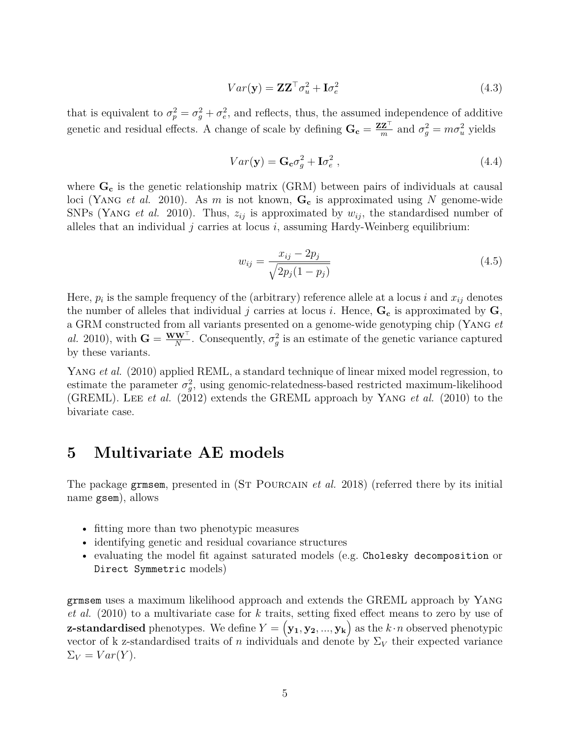$$
Var(\mathbf{y}) = \mathbf{Z}\mathbf{Z}^{\top}\sigma_u^2 + \mathbf{I}\sigma_e^2
$$
\n(4.3)

that is equivalent to  $\sigma_p^2 = \sigma_g^2 + \sigma_e^2$ *e* , and reflects, thus, the assumed independence of additive genetic and residual effects. A change of scale by defining  $\mathbf{G_c} = \frac{\mathbf{ZZ}^\top}{m}$  $\frac{Z^{\top}}{m}$  and  $\sigma_g^2 = m\sigma_u^2$  yields

$$
Var(\mathbf{y}) = \mathbf{G}_{\mathbf{c}} \sigma_g^2 + \mathbf{I} \sigma_e^2 \,, \tag{4.4}
$$

where  $G_c$  is the genetic relationship matrix (GRM) between pairs of individuals at causal loci (Yang *et al.* 2010). As *m* is not known, **G<sup>c</sup>** is approximated using *N* genome-wide SNPs (YANG *et al.* 2010). Thus,  $z_{ij}$  is approximated by  $w_{ij}$ , the standardised number of alleles that an individual  $j$  carries at locus  $i$ , assuming Hardy-Weinberg equilibrium:

$$
w_{ij} = \frac{x_{ij} - 2p_j}{\sqrt{2p_j(1 - p_j)}}
$$
\n(4.5)

Here,  $p_i$  is the sample frequency of the (arbitrary) reference allele at a locus *i* and  $x_{ij}$  denotes the number of alleles that individual *j* carries at locus *i*. Hence,  $\mathbf{G}_{c}$  is approximated by  $\mathbf{G}_{c}$ , a GRM constructed from all variants presented on a genome-wide genotyping chip (Yang *et al.* 2010), with  $\mathbf{G} = \frac{\mathbf{W}\mathbf{W}^{\top}}{N}$ . Consequently,  $\sigma_g^2$  $g<sup>2</sup>$  is an estimate of the genetic variance captured by these variants.

YANG *et al.* (2010) applied REML, a standard technique of linear mixed model regression, to estimate the parameter  $\sigma_q^2$ *g* , using genomic-relatedness-based restricted maximum-likelihood (GREML). Lee *et al.* (2012) extends the GREML approach by Yang *et al.* (2010) to the bivariate case.

## <span id="page-4-0"></span>**5 Multivariate AE models**

The package grmsem, presented in (ST POURCAIN *et al.* 2018) (referred there by its initial name gsem), allows

- fitting more than two phenotypic measures
- identifying genetic and residual covariance structures
- evaluating the model fit against saturated models (e.g. Cholesky decomposition or Direct Symmetric models)

grmsem uses a maximum likelihood approach and extends the GREML approach by Yang *et al.* (2010) to a multivariate case for *k* traits, setting fixed effect means to zero by use of **z-standardised** phenotypes. We define  $Y = (\mathbf{y_1}, \mathbf{y_2}, ..., \mathbf{y_k})$  as the  $k \cdot n$  observed phenotypic vector of k z-standardised traits of *n* individuals and denote by  $\Sigma_V$  their expected variance  $\Sigma_V = Var(Y)$ .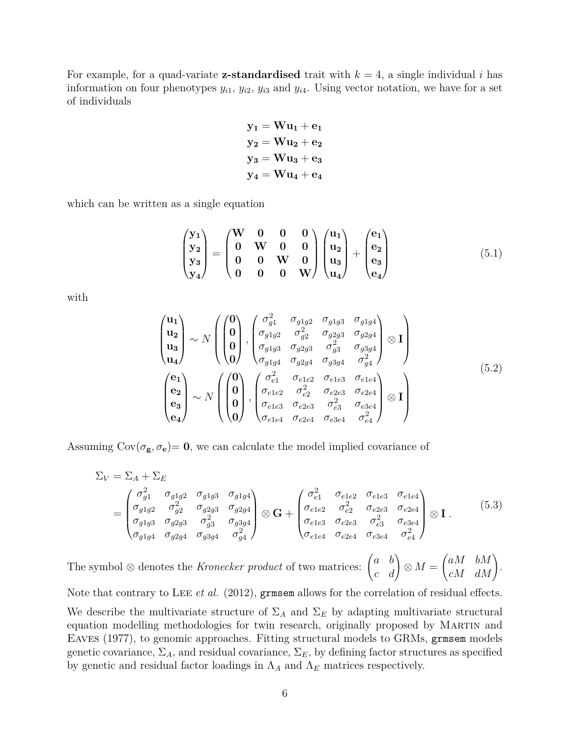For example, for a quad-variate **z-standardised** trait with  $k = 4$ , a single individual *i* has information on four phenotypes  $y_{i1}$ ,  $y_{i2}$ ,  $y_{i3}$  and  $y_{i4}$ . Using vector notation, we have for a set of individuals

$$
y_1 = Wu_1 + e_1
$$
  
\n
$$
y_2 = Wu_2 + e_2
$$
  
\n
$$
y_3 = Wu_3 + e_3
$$
  
\n
$$
y_4 = Wu_4 + e_4
$$

which can be written as a single equation

$$
\begin{pmatrix} y_1 \\ y_2 \\ y_3 \\ y_4 \end{pmatrix} = \begin{pmatrix} W & 0 & 0 & 0 \\ 0 & W & 0 & 0 \\ 0 & 0 & W & 0 \\ 0 & 0 & 0 & W \end{pmatrix} \begin{pmatrix} u_1 \\ u_2 \\ u_3 \\ u_4 \end{pmatrix} + \begin{pmatrix} e_1 \\ e_2 \\ e_3 \\ e_4 \end{pmatrix}
$$
(5.1)

with

$$
\begin{pmatrix}\n\mathbf{u}_{1} \\
\mathbf{u}_{2} \\
\mathbf{u}_{3} \\
\mathbf{u}_{4}\n\end{pmatrix}\n\sim N \begin{pmatrix}\n\begin{pmatrix}\n0 \\
0 \\
0 \\
0 \\
\end{pmatrix},\n\begin{pmatrix}\n\sigma_{g1}^{2} & \sigma_{g1g2} & \sigma_{g1g3} & \sigma_{g1g4} \\
\sigma_{g1g2} & \sigma_{g2}^{2} & \sigma_{g2g3} & \sigma_{g2g4} \\
\sigma_{g1g3} & \sigma_{g2g3} & \sigma_{g3}^{2} & \sigma_{g3g4} \\
\sigma_{g1g4} & \sigma_{g2g4} & \sigma_{g3g4} & \sigma_{g4}^{2}\n\end{pmatrix}\n\otimes \mathbf{I}\n\end{pmatrix}
$$
\n
$$
\begin{pmatrix}\n\mathbf{e}_{1} \\
\mathbf{e}_{2} \\
\mathbf{e}_{3} \\
\mathbf{e}_{4}\n\end{pmatrix}\n\sim N \begin{pmatrix}\n\begin{pmatrix}\n0 \\
0 \\
0 \\
0 \\
0\n\end{pmatrix},\n\begin{pmatrix}\n\sigma_{e1}^{2} & \sigma_{e1e2} & \sigma_{e1e3} & \sigma_{e1e4} \\
\sigma_{e1e2} & \sigma_{e2}^{2} & \sigma_{e2e3} & \sigma_{e2e4} \\
\sigma_{e1e3} & \sigma_{e2e3} & \sigma_{e3}^{2} & \sigma_{e3e4} \\
\sigma_{e1e4} & \sigma_{e2e4} & \sigma_{e3e4} & \sigma_{e4}^{2}\n\end{pmatrix}\n\otimes \mathbf{I}\n\end{pmatrix}
$$
\n(5.2)

Assuming  $Cov(\sigma_g, \sigma_e) = 0$ , we can calculate the model implied covariance of

$$
\Sigma_V = \Sigma_A + \Sigma_E
$$
\n
$$
= \begin{pmatrix}\n\sigma_{g1}^2 & \sigma_{g1g2} & \sigma_{g1g3} & \sigma_{g1g4} \\
\sigma_{g1g2} & \sigma_{g2}^2 & \sigma_{g2g3} & \sigma_{g2g4} \\
\sigma_{g1g3} & \sigma_{g2g3} & \sigma_{g3}^2 & \sigma_{g3g4} \\
\sigma_{g1g4} & \sigma_{g2g4} & \sigma_{g3g4} & \sigma_{g4}^2\n\end{pmatrix} \otimes \mathbf{G} + \begin{pmatrix}\n\sigma_{e1}^2 & \sigma_{e1e2} & \sigma_{e1e3} & \sigma_{e1e4} \\
\sigma_{e1e2} & \sigma_{e2}^2 & \sigma_{e2e3} & \sigma_{e2e4} \\
\sigma_{e1e3} & \sigma_{e2e3} & \sigma_{e3}^2 & \sigma_{e3e4} \\
\sigma_{e1e4} & \sigma_{e2e4} & \sigma_{e3e4} & \sigma_{e4}^2\n\end{pmatrix} \otimes \mathbf{I}.
$$
\n(5.3)

The symbol  $\otimes$  denotes the *Kronecker product* of two matrices:  $\begin{pmatrix} a & b \\ c & d \end{pmatrix} \otimes M =$  $\begin{pmatrix} aM & bM \\ cM & dM \end{pmatrix}$ .

Note that contrary to LEE *et al.* (2012), grms em allows for the correlation of residual effects. We describe the multivariate structure of  $\Sigma_A$  and  $\Sigma_E$  by adapting multivariate structural equation modelling methodologies for twin research, originally proposed by Martin and Eaves (1977), to genomic approaches. Fitting structural models to GRMs, grmsem models genetic covariance,  $\Sigma_A$ , and residual covariance,  $\Sigma_E$ , by defining factor structures as specified by genetic and residual factor loadings in  $\Lambda_A$  and  $\Lambda_E$  matrices respectively.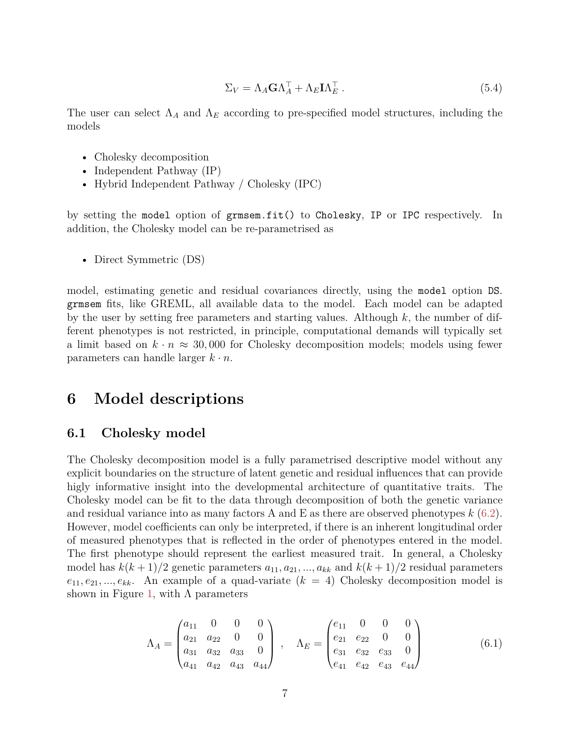$$
\Sigma_V = \Lambda_A \mathbf{G} \Lambda_A^\top + \Lambda_E \mathbf{I} \Lambda_E^\top \,. \tag{5.4}
$$

The user can select  $\Lambda_A$  and  $\Lambda_E$  according to pre-specified model structures, including the models

- Cholesky decomposition
- Independent Pathway (IP)
- Hybrid Independent Pathway / Cholesky (IPC)

by setting the model option of grmsem.fit() to Cholesky, IP or IPC respectively. In addition, the Cholesky model can be re-parametrised as

• Direct Symmetric (DS)

model, estimating genetic and residual covariances directly, using the model option DS. grmsem fits, like GREML, all available data to the model. Each model can be adapted by the user by setting free parameters and starting values. Although *k*, the number of different phenotypes is not restricted, in principle, computational demands will typically set a limit based on  $k \cdot n \approx 30,000$  for Cholesky decomposition models; models using fewer parameters can handle larger  $k \cdot n$ .

## <span id="page-6-0"></span>**6 Model descriptions**

### <span id="page-6-1"></span>**6.1 Cholesky model**

The Cholesky decomposition model is a fully parametrised descriptive model without any explicit boundaries on the structure of latent genetic and residual influences that can provide higly informative insight into the developmental architecture of quantitative traits. The Cholesky model can be fit to the data through decomposition of both the genetic variance and residual variance into as many factors A and E as there are observed phenotypes *k* [\(6.2\)](#page-7-1). However, model coefficients can only be interpreted, if there is an inherent longitudinal order of measured phenotypes that is reflected in the order of phenotypes entered in the model. The first phenotype should represent the earliest measured trait. In general, a Cholesky model has  $k(k+1)/2$  genetic parameters  $a_{11}, a_{21}, ..., a_{kk}$  and  $k(k+1)/2$  residual parameters  $e_{11}, e_{21}, \ldots, e_{kk}$ . An example of a quad-variate  $(k = 4)$  Cholesky decomposition model is shown in Figure [1,](#page-7-2) with  $\Lambda$  parameters

$$
\Lambda_A = \begin{pmatrix} a_{11} & 0 & 0 & 0 \\ a_{21} & a_{22} & 0 & 0 \\ a_{31} & a_{32} & a_{33} & 0 \\ a_{41} & a_{42} & a_{43} & a_{44} \end{pmatrix} , \quad \Lambda_E = \begin{pmatrix} e_{11} & 0 & 0 & 0 \\ e_{21} & e_{22} & 0 & 0 \\ e_{31} & e_{32} & e_{33} & 0 \\ e_{41} & e_{42} & e_{43} & e_{44} \end{pmatrix}
$$
(6.1)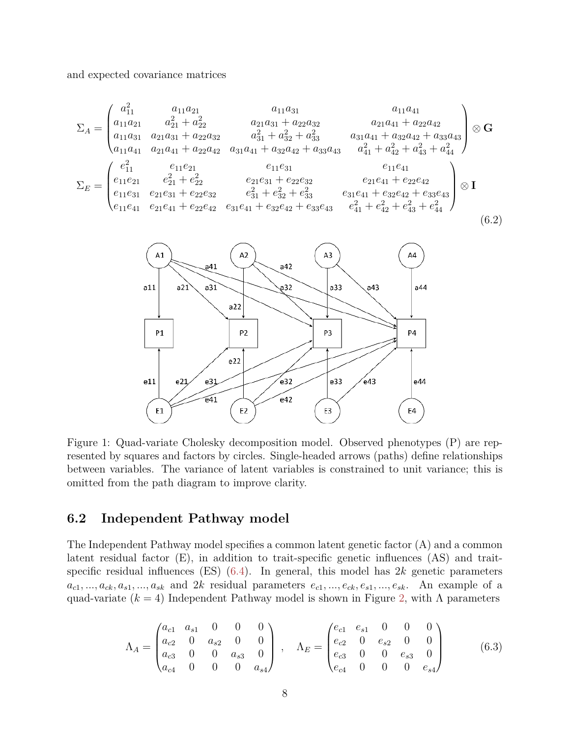and expected covariance matrices

<span id="page-7-1"></span>
$$
\Sigma_{A} = \begin{pmatrix}\na_{11}^{2} & a_{11}a_{21} & a_{11}a_{31} & a_{11}a_{41} \\
a_{11}a_{21} & a_{21}^{2} + a_{22}^{2} & a_{21}a_{31} + a_{22}a_{32} & a_{21}a_{41} + a_{22}a_{42} \\
a_{11}a_{31} & a_{21}a_{31} + a_{22}a_{32} & a_{31}^{2} + a_{32}^{2} + a_{33}^{2} & a_{31}a_{41} + a_{32}a_{42} + a_{33}a_{43} \\
a_{11}a_{41} & a_{21}a_{41} + a_{22}a_{42} & a_{31}a_{41} + a_{32}a_{42} + a_{33}a_{43} & a_{41}^{2} + a_{42}^{2} + a_{43}^{2} + a_{44}^{2}\n\end{pmatrix} \otimes \mathbf{G}
$$
\n
$$
\Sigma_{E} = \begin{pmatrix}\ne_{11}^{2} & e_{11}e_{21} & e_{11}e_{31} & e_{11}e_{31} & e_{11}e_{41} \\
e_{11}e_{21} & e_{21}^{2} + e_{22}^{2} & e_{21}e_{31} + e_{22}e_{32} & e_{21}e_{41} + e_{22}e_{42} \\
e_{11}e_{31} & e_{21}e_{31} + e_{22}e_{32} & e_{31}^{2} + e_{32}^{2} + e_{33}^{2} & e_{31}e_{41} + e_{32}e_{42} + e_{33}e_{43} \\
e_{11}e_{41} & e_{21}e_{41} + e_{22}e_{42} & e_{31}e_{41} + e_{32}e_{42} + e_{33}e_{43} & e_{41}^{2} + e_{42}^{2} + e_{43}^{2} + e_{44}^{2}\n\end{pmatrix} \otimes \mathbf{I}
$$
\n(6.2)



<span id="page-7-2"></span>Figure 1: Quad-variate Cholesky decomposition model. Observed phenotypes (P) are represented by squares and factors by circles. Single-headed arrows (paths) define relationships between variables. The variance of latent variables is constrained to unit variance; this is omitted from the path diagram to improve clarity.

#### <span id="page-7-0"></span> $6.2$ Independent Pathway model

The Independent Pathway model specifies a common latent genetic factor (A) and a common latent residual factor  $(E)$ , in addition to trait-specific genetic influences  $(AS)$  and traitspecific residual influences (ES)  $(6.4)$ . In general, this model has 2k genetic parameters  $a_{c1},...,a_{ck},a_{s1},...,a_{sk}$  and 2k residual parameters  $e_{c1},...,e_{ck},e_{s1},...,e_{sk}$ . An example of a quad-variate ( $k = 4$ ) Independent Pathway model is shown in Figure 2, with  $\Lambda$  parameters

$$
\Lambda_A = \begin{pmatrix} a_{c1} & a_{s1} & 0 & 0 & 0 \\ a_{c2} & 0 & a_{s2} & 0 & 0 \\ a_{c3} & 0 & 0 & a_{s3} & 0 \\ a_{c4} & 0 & 0 & 0 & a_{s4} \end{pmatrix}, \quad \Lambda_E = \begin{pmatrix} e_{c1} & e_{s1} & 0 & 0 & 0 \\ e_{c2} & 0 & e_{s2} & 0 & 0 \\ e_{c3} & 0 & 0 & e_{s3} & 0 \\ e_{c4} & 0 & 0 & 0 & e_{s4} \end{pmatrix}
$$
(6.3)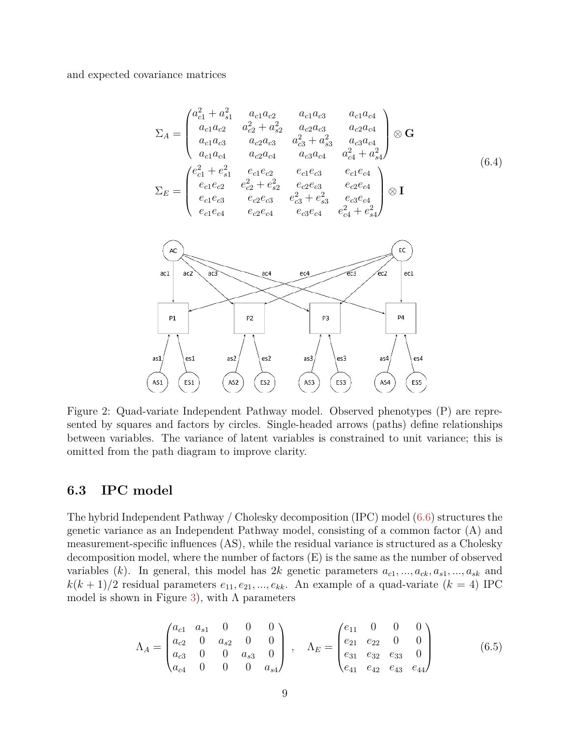<span id="page-8-1"></span>and expected covariance matrices

$$
\Sigma_{A} = \begin{pmatrix}\na_{c1}^{2} + a_{s1}^{2} & a_{c1}a_{c2} & a_{c1}a_{c3} & a_{c1}a_{c4} \\
a_{c1}a_{c2} & a_{c2}^{2} + a_{s2}^{2} & a_{c2}a_{c3} & a_{c2}a_{c4} \\
a_{c1}a_{c3} & a_{c2}a_{c3} & a_{c3}^{2} + a_{s3}^{2} & a_{c3}a_{c4} \\
a_{c1}a_{c4} & a_{c2}a_{c4} & a_{c3}a_{c4} & a_{c4}^{2} + a_{s4}^{2}\n\end{pmatrix} \otimes \mathbf{G}
$$
\n
$$
\Sigma_{E} = \begin{pmatrix}\ne_{c1}^{2} + e_{s1}^{2} & e_{c1}e_{c2} & e_{c1}e_{c3} & e_{c1}e_{c4} \\
e_{c1}e_{c2} & e_{c2}^{2} + e_{s2}^{2} & e_{c2}e_{c3} & e_{c2}e_{c4} \\
e_{c1}e_{c3} & e_{c2}e_{c3} & e_{c3}^{2} + e_{s3}^{2} & e_{c3}e_{c4}\n\end{pmatrix} \otimes \mathbf{I}
$$
\n
$$
\Sigma_{E} = \begin{pmatrix}\ne_{c1}^{2} + e_{s1}^{2} & e_{c1}e_{c2} & e_{c1}e_{c3} & e_{c1}e_{c4} \\
e_{c1}e_{c3} & e_{c2}e_{c3} & e_{c3}e_{c4} & e_{c4}e_{c4} + e_{s4}^{2}\n\end{pmatrix} \otimes \mathbf{I}
$$
\n
$$
\Sigma_{E} = \begin{pmatrix}\ne_{c1}^{2} & e_{c2}^{2} & e_{c1}^{2} & e_{c2}^{2} & e_{c2}^{2} & e_{c3}^{2} & e_{c4} \\
e_{c1}e_{c4} & e_{c2}e_{c4} & e_{c3}e_{c4} & e_{c4}^{2} + e_{s4}^{2}\n\end{pmatrix} \otimes \mathbf{I}
$$
\n
$$
\Sigma_{E} = \begin{pmatrix}\ne_{c1}^{2} & e_{c1}^{2} & e_{c2}^{2} & e_{c2}^{2} &
$$

<span id="page-8-2"></span>Figure 2: Quad-variate Independent Pathway model. Observed phenotypes (P) are represented by squares and factors by circles. Single-headed arrows (paths) define relationships between variables. The variance of latent variables is constrained to unit variance; this is omitted from the path diagram to improve clarity.

## <span id="page-8-0"></span>**6.3 IPC model**

The hybrid Independent Pathway / Cholesky decomposition (IPC) model [\(6.6\)](#page-9-1) structures the genetic variance as an Independent Pathway model, consisting of a common factor (A) and measurement-specific influences (AS), while the residual variance is structured as a Cholesky decomposition model, where the number of factors (E) is the same as the number of observed variables  $(k)$ . In general, this model has 2*k* genetic parameters  $a_{c1}, ..., a_{ck}, a_{s1}, ..., a_{sk}$  and  $k(k+1)/2$  residual parameters  $e_{11}, e_{21}, ..., e_{kk}$ . An example of a quad-variate  $(k = 4)$  IPC model is shown in Figure [3\)](#page-9-2), with  $\Lambda$  parameters

$$
\Lambda_A = \begin{pmatrix} a_{c1} & a_{s1} & 0 & 0 & 0 \\ a_{c2} & 0 & a_{s2} & 0 & 0 \\ a_{c3} & 0 & 0 & a_{s3} & 0 \\ a_{c4} & 0 & 0 & 0 & a_{s4} \end{pmatrix}, \quad \Lambda_E = \begin{pmatrix} e_{11} & 0 & 0 & 0 \\ e_{21} & e_{22} & 0 & 0 \\ e_{31} & e_{32} & e_{33} & 0 \\ e_{41} & e_{42} & e_{43} & e_{44} \end{pmatrix}
$$
(6.5)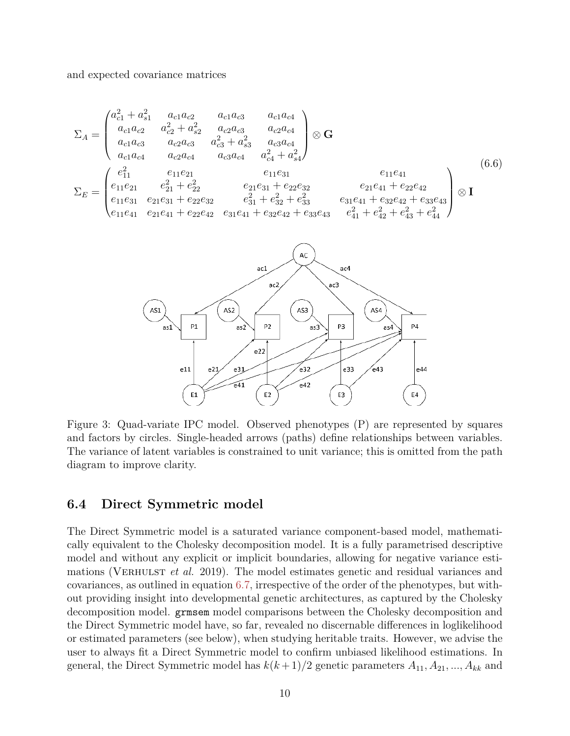and expected covariance matrices

<span id="page-9-1"></span>
$$
\Sigma_{A} = \begin{pmatrix}\na_{c1}^{2} + a_{s1}^{2} & a_{c1}a_{c2} & a_{c1}a_{c3} & a_{c1}a_{c4} \\
a_{c1}a_{c2} & a_{c2}^{2} + a_{s2}^{2} & a_{c2}a_{c3} & a_{c2}a_{c4} \\
a_{c1}a_{c3} & a_{c2}a_{c3} & a_{c3}^{2} + a_{s3}^{2} & a_{c3}a_{c4} \\
a_{c1}a_{c4} & a_{c2}a_{c4} & a_{c3}a_{c4} & a_{c4}^{2} + a_{s4}^{2}\n\end{pmatrix}\n\otimes \mathbf{G}
$$
\n
$$
\Sigma_{E} = \begin{pmatrix}\ne_{11}^{2} & e_{11}e_{21} & e_{11}e_{31} & e_{11}e_{41} \\
e_{11}e_{21} & e_{21}^{2} + e_{22}^{2} & e_{21}e_{31} + e_{22}e_{32} & e_{21}e_{41} + e_{22}e_{42} & e_{21}e_{41} + e_{22}e_{42} + e_{33}e_{43} \\
e_{11}e_{41} & e_{21}e_{41} + e_{22}e_{42} & e_{31}e_{41} + e_{32}e_{42} + e_{33}e_{43} & e_{41}^{2} + e_{42}^{2} + e_{43}^{2} + e_{44}^{2}\n\end{pmatrix}\n\otimes \mathbf{I}
$$
\n
$$
\text{at}
$$
\n
$$
\Sigma_{E} = \begin{pmatrix}\ne_{11}^{2} & e_{11}e_{21} & e_{11}e_{31} & e_{11}e_{31} & e_{11}e_{31} & e_{11}e_{41} & e_{11}e_{41} & e_{11}e_{41} & e_{11}e_{41} & e_{11}e_{41} & e_{11}e_{41} & e_{11}e_{41} & e_{11}e_{41} & e_{11}e_{41} & e_{11}e_{41} & e_{11}e_{41} & e_{11}e_{41} & e_{11}e_{41} & e_{11}e_{41} & e_{
$$

<span id="page-9-2"></span>Figure 3: Quad-variate IPC model. Observed phenotypes (P) are represented by squares and factors by circles. Single-headed arrows (paths) define relationships between variables. The variance of latent variables is constrained to unit variance; this is omitted from the path diagram to improve clarity.

#### <span id="page-9-0"></span>Direct Symmetric model 6.4

The Direct Symmetric model is a saturated variance component-based model, mathematically equivalent to the Cholesky decomposition model. It is a fully parametrised descriptive model and without any explicit or implicit boundaries, allowing for negative variance estimations (VERHULST *et al.* 2019). The model estimates genetic and residual variances and covariances, as outlined in equation 6.7, irrespective of the order of the phenotypes, but without providing insight into developmental genetic architectures, as captured by the Cholesky decomposition model. **grmsem** model comparisons between the Cholesky decomposition and the Direct Symmetric model have, so far, revealed no discernable differences in loglikelihood or estimated parameters (see below), when studying heritable traits. However, we advise the user to always fit a Direct Symmetric model to confirm unbiased likelihood estimations. In general, the Direct Symmetric model has  $k(k+1)/2$  genetic parameters  $A_{11}, A_{21}, ..., A_{kk}$  and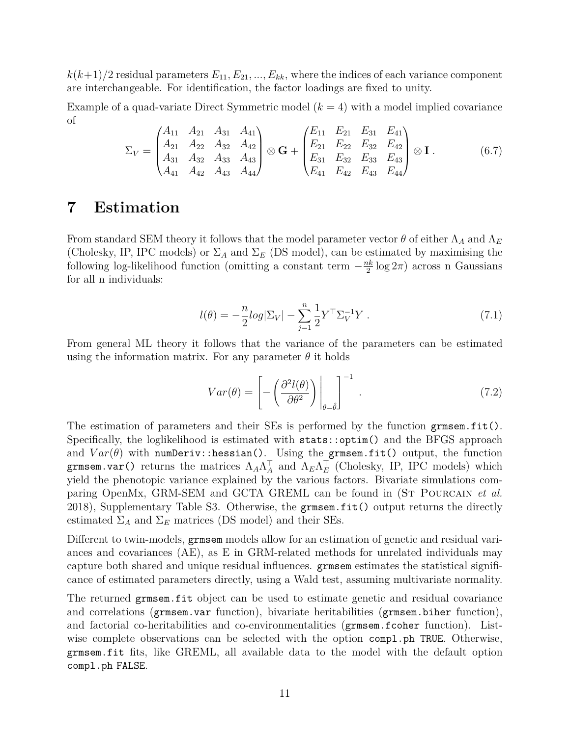$k(k+1)/2$  residual parameters  $E_{11}, E_{21}, ..., E_{kk}$ , where the indices of each variance component are interchangeable. For identification, the factor loadings are fixed to unity.

Example of a quad-variate Direct Symmetric model  $(k = 4)$  with a model implied covariance of

<span id="page-10-1"></span>
$$
\Sigma_V = \begin{pmatrix} A_{11} & A_{21} & A_{31} & A_{41} \\ A_{21} & A_{22} & A_{32} & A_{42} \\ A_{31} & A_{32} & A_{33} & A_{43} \\ A_{41} & A_{42} & A_{43} & A_{44} \end{pmatrix} \otimes \mathbf{G} + \begin{pmatrix} E_{11} & E_{21} & E_{31} & E_{41} \\ E_{21} & E_{22} & E_{32} & E_{42} \\ E_{31} & E_{32} & E_{33} & E_{43} \\ E_{41} & E_{42} & E_{43} & E_{44} \end{pmatrix} \otimes \mathbf{I}.
$$
 (6.7)

## <span id="page-10-0"></span>**7 Estimation**

From standard SEM theory it follows that the model parameter vector  $\theta$  of either  $\Lambda_A$  and  $\Lambda_E$ (Cholesky, IP, IPC models) or  $\Sigma_A$  and  $\Sigma_E$  (DS model), can be estimated by maximising the following log-likelihood function (omitting a constant term  $-\frac{nk}{2}\log 2\pi$ ) across n Gaussians for all n individuals:

$$
l(\theta) = -\frac{n}{2} log |\Sigma_V| - \sum_{j=1}^{n} \frac{1}{2} Y^{\top} \Sigma_V^{-1} Y .
$$
 (7.1)

From general ML theory it follows that the variance of the parameters can be estimated using the information matrix. For any parameter  $\theta$  it holds

$$
Var(\theta) = \left[ -\left( \frac{\partial^2 l(\theta)}{\partial \theta^2} \right) \bigg|_{\theta = \hat{\theta}} \right]^{-1} . \tag{7.2}
$$

The estimation of parameters and their SEs is performed by the function grmsem.fit(). Specifically, the loglikelihood is estimated with stats::optim() and the BFGS approach and  $Var(\theta)$  with numDeriv::hessian(). Using the grmsem.fit() output, the function grmsem.var() returns the matrices  $\Lambda_A \Lambda_A^T$  and  $\Lambda_E \Lambda_E^T$  (Cholesky, IP, IPC models) which yield the phenotopic variance explained by the various factors. Bivariate simulations comparing OpenMx, GRM-SEM and GCTA GREML can be found in (St Pourcain *et al.* 2018), Supplementary Table S3. Otherwise, the grmsem.fit() output returns the directly estimated  $\Sigma_A$  and  $\Sigma_E$  matrices (DS model) and their SEs.

Different to twin-models, grmsem models allow for an estimation of genetic and residual variances and covariances (AE), as E in GRM-related methods for unrelated individuals may capture both shared and unique residual influences. grmsem estimates the statistical significance of estimated parameters directly, using a Wald test, assuming multivariate normality.

The returned grmsem.fit object can be used to estimate genetic and residual covariance and correlations (grmsem.var function), bivariate heritabilities (grmsem.biher function), and factorial co-heritabilities and co-environmentalities (grmsem.fcoher function). Listwise complete observations can be selected with the option compl.ph TRUE. Otherwise, grmsem.fit fits, like GREML, all available data to the model with the default option compl.ph FALSE.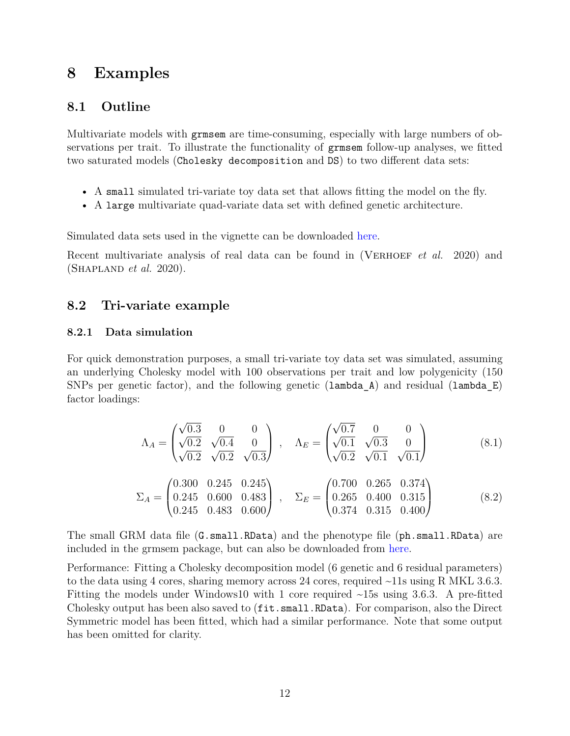# <span id="page-11-0"></span>**8 Examples**

## <span id="page-11-1"></span>**8.1 Outline**

Multivariate models with grmsem are time-consuming, especially with large numbers of observations per trait. To illustrate the functionality of grmsem follow-up analyses, we fitted two saturated models (Cholesky decomposition and DS) to two different data sets:

- A small simulated tri-variate toy data set that allows fitting the model on the fly.
- A large multivariate quad-variate data set with defined genetic architecture.

Simulated data sets used in the vignette can be downloaded [here.](https://gitlab.gwdg.de/beate.stpourcain/grmsem_external)

Recent multivariate analysis of real data can be found in (VERHOEF *et al.* 2020) and (Shapland *et al.* 2020).

## <span id="page-11-2"></span>**8.2 Tri-variate example**

#### **8.2.1 Data simulation**

For quick demonstration purposes, a small tri-variate toy data set was simulated, assuming an underlying Cholesky model with 100 observations per trait and low polygenicity (150 SNPs per genetic factor), and the following genetic (lambda A) and residual (lambda E) factor loadings:

$$
\Lambda_A = \begin{pmatrix} \sqrt{0.3} & 0 & 0 \\ \sqrt{0.2} & \sqrt{0.4} & 0 \\ \sqrt{0.2} & \sqrt{0.2} & \sqrt{0.3} \end{pmatrix} , \quad \Lambda_E = \begin{pmatrix} \sqrt{0.7} & 0 & 0 \\ \sqrt{0.1} & \sqrt{0.3} & 0 \\ \sqrt{0.2} & \sqrt{0.1} & \sqrt{0.1} \end{pmatrix}
$$
(8.1)

$$
\Sigma_A = \begin{pmatrix}\n0.300 & 0.245 & 0.245 \\
0.245 & 0.600 & 0.483 \\
0.245 & 0.483 & 0.600\n\end{pmatrix}, \quad\n\Sigma_E = \begin{pmatrix}\n0.700 & 0.265 & 0.374 \\
0.265 & 0.400 & 0.315 \\
0.374 & 0.315 & 0.400\n\end{pmatrix}
$$
\n(8.2)

The small GRM data file (G.small.RData) and the phenotype file (ph.small.RData) are included in the grmsem package, but can also be downloaded from [here.](https://gitlab.gwdg.de/beate.stpourcain/grmsem_external)

Performance: Fitting a Cholesky decomposition model (6 genetic and 6 residual parameters) to the data using 4 cores, sharing memory across 24 cores, required ~11s using R MKL 3.6.3. Fitting the models under Windows10 with 1 core required  $\sim$ 15s using 3.6.3. A pre-fitted Cholesky output has been also saved to (fit.small.RData). For comparison, also the Direct Symmetric model has been fitted, which had a similar performance. Note that some output has been omitted for clarity.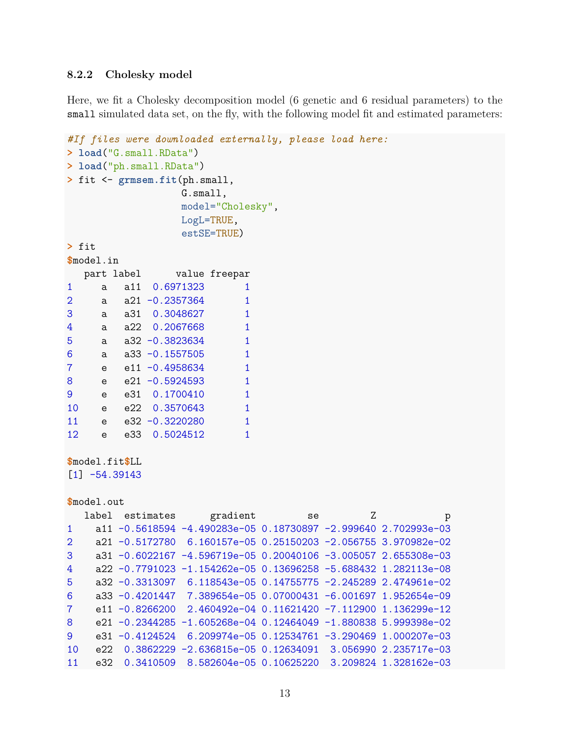#### 8.2.2 Cholesky model

Here, we fit a Cholesky decomposition model (6 genetic and 6 residual parameters) to the small simulated data set, on the fly, with the following model fit and estimated parameters:

```
#If files were downloaded externally, please load here:
> load("G.small.RData")
> load("ph.small.RData")
> fit <- grmsem.fit(ph.small,
                        G.smal1,model="Cholesky",
                        LogL=TRUE,
                         estSE=TRUE)
> fit
$model.in
   part label
                       value freepar
\mathbf{1}0.6971323
            a11
                                      \mathbf{1}\mathsf a\overline{2}a21 -0.2357364\mathbf{1}a
3
            a31
                  0.3048627
                                      \mathbf{1}a
\overline{4}a22 0.2067668
                                      \mathbf{1}a
5
            a32 -0.3823634\mathbf{1}a
6
            a33 - 0.1557505\mathbf{1}a
\overline{7}e11 - 0.4958634\mathbf{1}\mathbf e8
            e21 -0.5924593\mathbf{1}\mathbf{e}% _{t}\left( \mathbf{1}_{t}\right)9
            e31
                  0.1700410
                                      \mathbf{1}e
10e22 0.3570643
                                      \mathbf{1}\mathbf{e}11
            e32 -0.3220280\mathbf{1}\mathbf{e}12
            e33
                 0.5024512
                                      \mathbf{1}\Theta$model.fit$LL
[1] -54.39143$model.out
   label
            estimates
                               gradient
                                                                 Z
                                                    se
\mathbf{1}a11 -0.5618594 -4.490283e-05 0.18730897 -2.999640 2.702993e-03
\overline{2}a21 -0.5172780 6.160157e-05 0.25150203 -2.056755 3.970982e-02
      a31 -0.6022167 -4.596719e-05 0.20040106 -3.005057 2.655308e-03
3
\overline{4}a22 -0.7791023 -1.154262e-05 0.13696258 -5.688432 1.282113e-08
5
      a32 -0.3313097 6.118543e-05 0.14755775 -2.245289 2.474961e-02
6
      a33 -0.4201447 7.389654e-05 0.07000431 -6.001697 1.952654e-09
\overline{7}e11 - 0.82662002.460492e-04 0.11621420 -7.112900 1.136299e-12
8
      e21 -0.2344285 -1.605268e-04 0.12464049 -1.880838 5.999398e-02
      e31 -0.4124524 6.209974e-05 0.12534761 -3.290469 1.000207e-03
9
10
            0.3862229 -2.636815e-05 0.12634091 3.056990 2.235717e-03
      e22
      e32  0.3410509  8.582604e-05  0.10625220  3.209824  1.328162e-03
11
```
p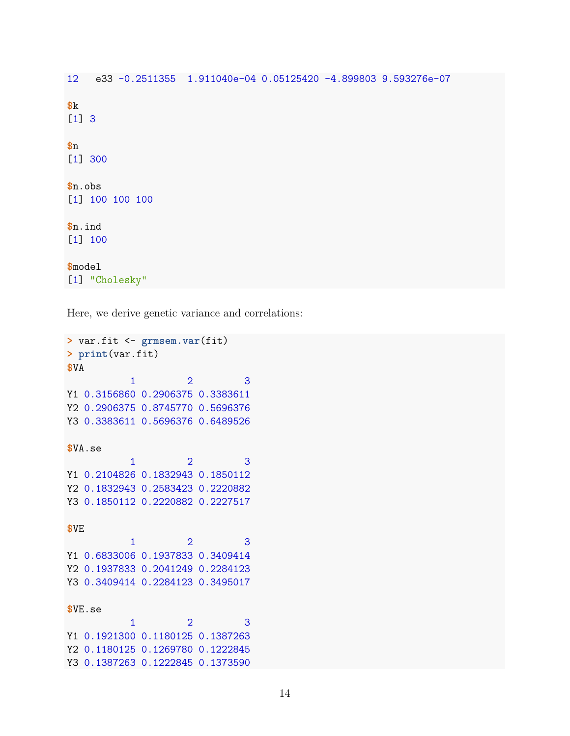```
e33 -0.2511355 1.911040e-04 0.05125420 -4.899803 9.593276e-07
12 -k[1] 3\mathbf{\$n}[1] 300$n.obs
[1] 100 100 100
$n.ind[1] 100$model
[1] "Cholesky"
```
Here, we derive genetic variance and correlations:

```
> var.fit <- grmsem.var(fit)
> print(var.fit)
$VA
                                     3
             \mathbf{1}\overline{2}Y1 0.3156860 0.2906375 0.3383611
Y2 0.2906375 0.8745770 0.5696376
Y3 0.3383611 0.5696376 0.6489526
$VA.se\overline{3}\overline{2}\mathbf{1}Y1 0.2104826 0.1832943 0.1850112
Y2 0.1832943 0.2583423 0.2220882
Y3 0.1850112 0.2220882 0.2227517
$VE\overline{2}\overline{3}\mathbf{1}Y1 0.6833006 0.1937833 0.3409414
Y2 0.1937833 0.2041249 0.2284123
Y3 0.3409414 0.2284123 0.3495017
$VE.se
                         \overline{2}3
             \mathbf{1}Y1 0.1921300 0.1180125 0.1387263
Y2 0.1180125 0.1269780 0.1222845
Y3 0.1387263 0.1222845 0.1373590
```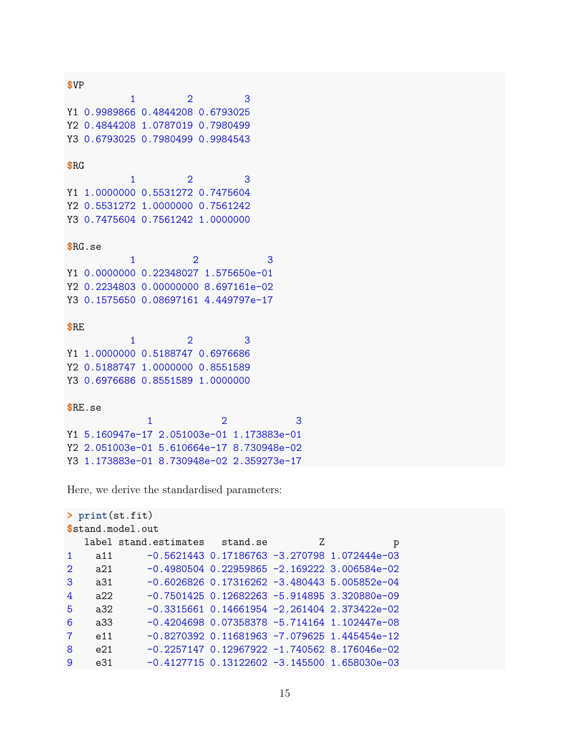```
$VP\overline{3}\mathbf{1}\overline{2}Y1 0.9989866 0.4844208 0.6793025
Y2 0.4844208 1.0787019 0.7980499
Y3 0.6793025 0.7980499 0.9984543
R<sub>G</sub>\mathbf{1}\overline{2}3
Y1 1.0000000 0.5531272 0.7475604
Y2 0.5531272 1.0000000 0.7561242
Y3 0.7475604 0.7561242 1.0000000
RG.se\mathbf{1}\overline{2}3
Y1 0.0000000 0.22348027 1.575650e-01
Y2 0.2234803 0.00000000 8.697161e-02
Y3 0.1575650 0.08697161 4.449797e-17
$RE
                         \overline{2}3
             1
Y1 1.0000000 0.5188747 0.6976686
Y2 0.5188747 1.0000000 0.8551589
Y3 0.6976686 0.8551589 1.0000000
$RE.se\overline{2}\mathbf{1}Y1 5.160947e-17 2.051003e-01 1.173883e-01
Y2 2.051003e-01 5.610664e-17 8.730948e-02
Y3 1.173883e-01 8.730948e-02 2.359273e-17
```
Here, we derive the standardised parameters:

```
> print(st.fit)
$stand.model.out
   label stand.estimates
                            stand.se
                                              Ζ
                                                            p
\mathbf{1}a11-0.5621443 0.17186763 -3.270798 1.072444e-03
\overline{2}-0.4980504 0.22959865 -2.169222 3.006584e-02
     a213
     a31-0.6026826 0.17316262 -3.480443 5.005852e-04
4
     a22-0.7501425 0.12682263 -5.914895 3.320880e-09
5
              -0.3315661 0.14661954 -2.261404 2.373422e-02
     a32-0.4204698 0.07358378 -5.714164 1.102447e-08
6
     a33
\overline{7}e11-0.8270392 0.11681963 -7.079625 1.445454e-12
8
              -0.2257147 0.12967922 -1.740562 8.176046e-02
     e219
     e31
            -0.4127715 0.13122602 -3.145500 1.658030e-03
```
3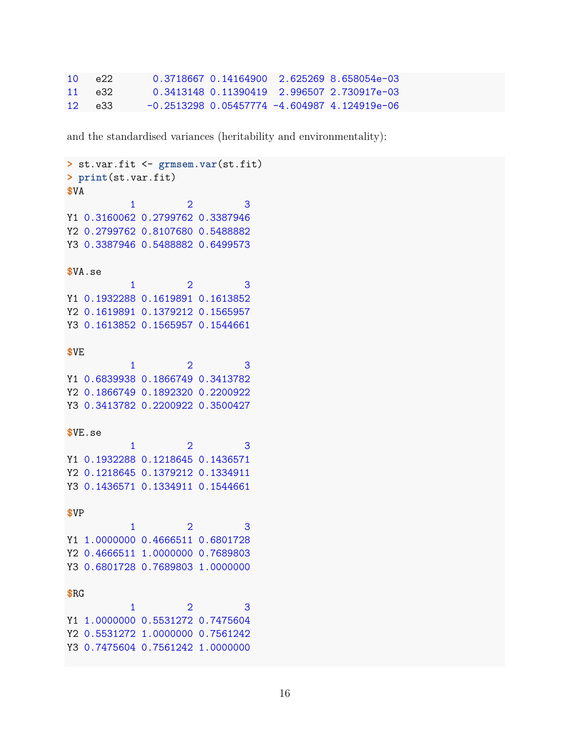| $10-1$ | e22     |  | 0.3718667 0.14164900 2.625269 8.658054e-03       |
|--------|---------|--|--------------------------------------------------|
|        | 11 e.32 |  | $0.3413148$ 0.11390419 2.996507 2.730917e-03     |
|        | 12 e33  |  | $-0.2513298$ 0.05457774 $-4.604987$ 4.124919e-06 |

and the standardised variances (heritability and environmentality):

```
> st.var.fit <- grmsem.var(st.fit)
> print(st.var.fit)
$VA
             \mathbf{1}\overline{2}3
Y1 0.3160062 0.2799762 0.3387946
Y2 0.2799762 0.8107680 0.5488882
Y3 0.3387946 0.5488882 0.6499573
$VA.se3
             \mathbf{1}\overline{2}Y1 0.1932288 0.1619891 0.1613852
Y2 0.1619891 0.1379212 0.1565957
Y3 0.1613852 0.1565957 0.1544661
$VE
                         \overline{2}\mathbf{1}\overline{3}Y1 0.6839938 0.1866749 0.3413782
Y2 0.1866749 0.1892320 0.2200922
Y3 0.3413782 0.2200922 0.3500427
$VE.se\mathbf{1}\overline{2}3
Y1 0.1932288 0.1218645 0.1436571
Y2 0.1218645 0.1379212 0.1334911
Y3 0.1436571 0.1334911 0.1544661
$VP\overline{1}\overline{2}\overline{3}Y1 1.0000000 0.4666511 0.6801728
Y2 0.4666511 1.0000000 0.7689803
Y3 0.6801728 0.7689803 1.0000000
$RG\mathbf{1}\overline{2}3
Y1 1.0000000 0.5531272 0.7475604
Y2 0.5531272 1.0000000 0.7561242
Y3 0.7475604 0.7561242 1.0000000
```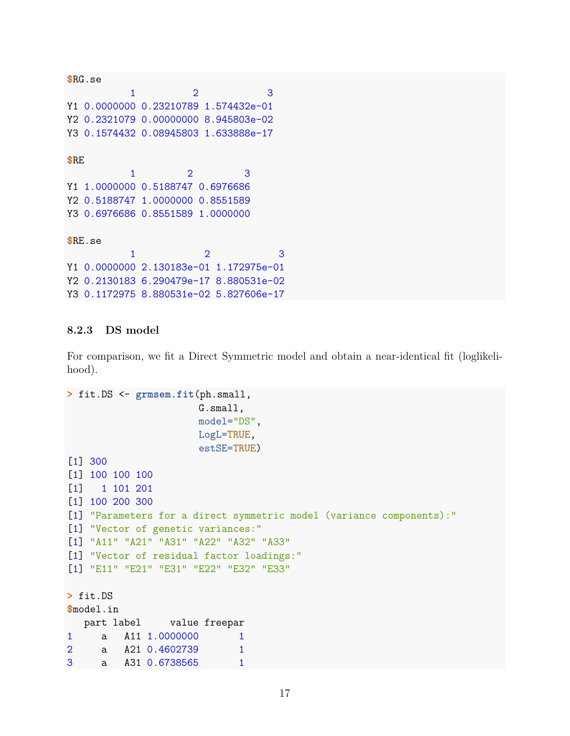```
$RG.se
         1 2 3
Y1 0.0000000 0.23210789 1.574432e-01
Y2 0.2321079 0.00000000 8.945803e-02
Y3 0.1574432 0.08945803 1.633888e-17
$RE
         1 2 3
Y1 1.0000000 0.5188747 0.6976686
Y2 0.5188747 1.0000000 0.8551589
Y3 0.6976686 0.8551589 1.0000000
$RE.se
         1 2 3
Y1 0.0000000 2.130183e-01 1.172975e-01
Y2 0.2130183 6.290479e-17 8.880531e-02
Y3 0.1172975 8.880531e-02 5.827606e-17
```
### **8.2.3 DS model**

For comparison, we fit a Direct Symmetric model and obtain a near-identical fit (loglikelihood).

```
> fit.DS <- grmsem.fit(ph.small,
                     G.small,
                     model="DS",
                     LogL=TRUE,
                     estSE=TRUE)
[1] 300
[1] 100 100 100
[1] 1 101 201
[1] 100 200 300
[1] "Parameters for a direct symmetric model (variance components):"
[1] "Vector of genetic variances:"
[1] "A11" "A21" "A31" "A22" "A32" "A33"
[1] "Vector of residual factor loadings:"
[1] "E11" "E21" "E31" "E22" "E32" "E33"
> fit.DS
$model.in
  part label value freepar
1 a A11 1.0000000 1
2 a A21 0.4602739 1
3 a A31 0.6738565 1
```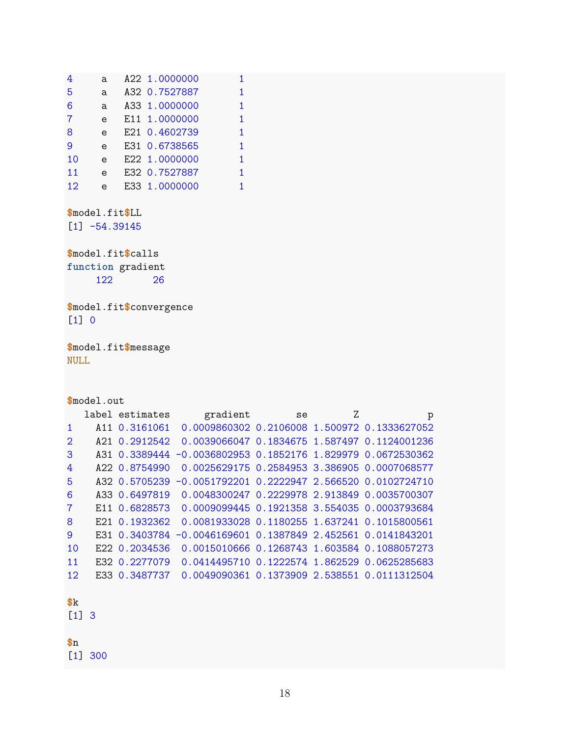| 4               | a. | A22 1.0000000 |   |
|-----------------|----|---------------|---|
| 5               | a  | A32 0.7527887 | 1 |
| 6               | a  | A33 1.0000000 | 1 |
| 7               | e  | E11 1.0000000 | 1 |
| 8               | e  | E21 0.4602739 | 1 |
| 9               | e  | E31 0.6738565 | 1 |
| 10              | e  | E22 1.0000000 | 1 |
| 11              | e  | E32 0.7527887 | 1 |
| 12 <sub>2</sub> | e  | E33 1.0000000 |   |

**\$**model.fit**\$**LL

[1] -54.39145

**\$**model.fit**\$**calls function gradient<br>122 26 122 and the set of  $\sim$ 

**\$**model.fit**\$**convergence [1] 0

**\$**model.fit**\$**message NULL

|                                     | \$model.out |                 |                                                 |    |   |                                                 |  |  |
|-------------------------------------|-------------|-----------------|-------------------------------------------------|----|---|-------------------------------------------------|--|--|
|                                     |             | label estimates | gradient                                        | se | Z | p                                               |  |  |
| 1                                   |             | A11 0.3161061   |                                                 |    |   | 0.0009860302  0.2106008  1.500972  0.1333627052 |  |  |
| $\mathcal{D}_{\mathcal{L}}$         |             | A21 0.2912542   |                                                 |    |   | 0.0039066047  0.1834675  1.587497  0.1124001236 |  |  |
| 3                                   |             | A31 0.3389444   | $-0.0036802953$ 0.1852176 1.829979 0.0672530362 |    |   |                                                 |  |  |
| 4                                   |             | A22 0.8754990   | 0.0025629175 0.2584953 3.386905 0.0007068577    |    |   |                                                 |  |  |
| 5                                   |             | A32 0.5705239   | $-0.0051792201$ 0.2222947 2.566520 0.0102724710 |    |   |                                                 |  |  |
| 6                                   |             | A33 0.6497819   |                                                 |    |   | 0.0048300247  0.2229978  2.913849  0.0035700307 |  |  |
| 7                                   |             | E11 0.6828573   |                                                 |    |   | 0.0009099445  0.1921358  3.554035  0.0003793684 |  |  |
| 8                                   |             | E21 0.1932362   | 0.0081933028 0.1180255 1.637241 0.1015800561    |    |   |                                                 |  |  |
| 9                                   |             | E31 0.3403784   | $-0.0046169601$ 0.1387849 2.452561 0.0141843201 |    |   |                                                 |  |  |
| 10                                  |             | E22 0.2034536   |                                                 |    |   | 0.0015010666  0.1268743  1.603584  0.1088057273 |  |  |
| 11                                  |             | E32 0.2277079   |                                                 |    |   | 0.0414495710 0.1222574 1.862529 0.0625285683    |  |  |
| 12.                                 |             | E33 0.3487737   |                                                 |    |   | 0.0049090361  0.1373909  2.538551  0.0111312504 |  |  |
|                                     |             |                 |                                                 |    |   |                                                 |  |  |
| k                                   |             |                 |                                                 |    |   |                                                 |  |  |
| $\begin{bmatrix} 1 \end{bmatrix}$ 3 |             |                 |                                                 |    |   |                                                 |  |  |
|                                     |             |                 |                                                 |    |   |                                                 |  |  |
| $\$n$                               |             |                 |                                                 |    |   |                                                 |  |  |

[1] 300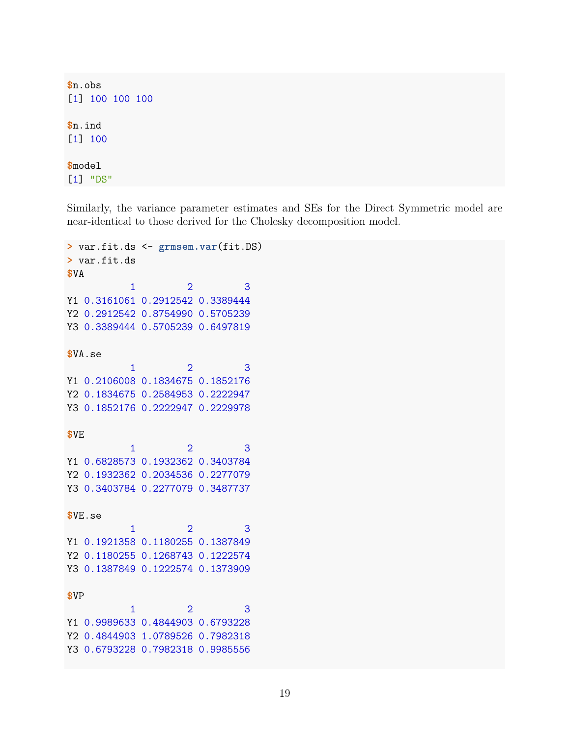```
$n.obs
[1] 100 100 100
$n.ind
[1] 100
$model
[1] "DS"
```
Similarly, the variance parameter estimates and SEs for the Direct Symmetric model are near-identical to those derived for the Cholesky decomposition model.

```
> var.fit.ds <- grmsem.var(fit.DS)
> var.fit.ds
$VA
          1 2 3
Y1 0.3161061 0.2912542 0.3389444
Y2 0.2912542 0.8754990 0.5705239
Y3 0.3389444 0.5705239 0.6497819
$VA.se
          1 2 3
Y1 0.2106008 0.1834675 0.1852176
Y2 0.1834675 0.2584953 0.2222947
Y3 0.1852176 0.2222947 0.2229978
$VE
          1 2 3
Y1 0.6828573 0.1932362 0.3403784
Y2 0.1932362 0.2034536 0.2277079
Y3 0.3403784 0.2277079 0.3487737
$VE.se
          1 2 3
Y1 0.1921358 0.1180255 0.1387849
Y2 0.1180255 0.1268743 0.1222574
Y3 0.1387849 0.1222574 0.1373909
$VP
          1 2 3
Y1 0.9989633 0.4844903 0.6793228
Y2 0.4844903 1.0789526 0.7982318
Y3 0.6793228 0.7982318 0.9985556
```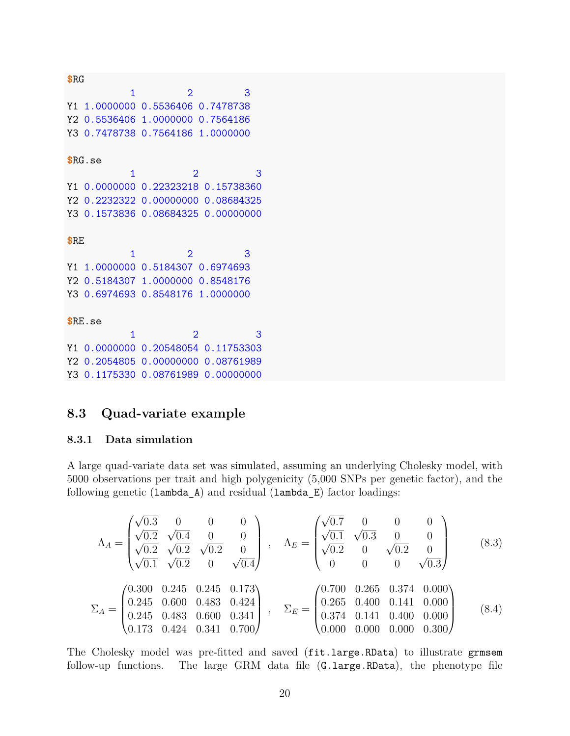**\$**RG 1 2 3 Y1 1.0000000 0.5536406 0.7478738 Y2 0.5536406 1.0000000 0.7564186 Y3 0.7478738 0.7564186 1.0000000 **\$**RG.se 1 2 3 Y1 0.0000000 0.22323218 0.15738360 Y2 0.2232322 0.00000000 0.08684325 Y3 0.1573836 0.08684325 0.00000000 **\$**RE 1 2 3 Y1 1.0000000 0.5184307 0.6974693 Y2 0.5184307 1.0000000 0.8548176 Y3 0.6974693 0.8548176 1.0000000 **\$**RE.se 1 2 3 Y1 0.0000000 0.20548054 0.11753303 Y2 0.2054805 0.00000000 0.08761989 Y3 0.1175330 0.08761989 0.00000000

## <span id="page-19-0"></span>**8.3 Quad-variate example**

### **8.3.1 Data simulation**

A large quad-variate data set was simulated, assuming an underlying Cholesky model, with 5000 observations per trait and high polygenicity (5,000 SNPs per genetic factor), and the following genetic (lambda\_A) and residual (lambda\_E) factor loadings:

$$
\Lambda_{A} = \begin{pmatrix}\n\sqrt{0.3} & 0 & 0 & 0 \\
\sqrt{0.2} & \sqrt{0.4} & 0 & 0 \\
\sqrt{0.2} & \sqrt{0.2} & 0 & \sqrt{0.2} \\
\sqrt{0.1} & \sqrt{0.2} & 0 & \sqrt{0.4}\n\end{pmatrix}, \quad \Lambda_{E} = \begin{pmatrix}\n\sqrt{0.7} & 0 & 0 & 0 \\
\sqrt{0.1} & \sqrt{0.3} & 0 & 0 \\
\sqrt{0.2} & 0 & \sqrt{0.2} & 0 \\
0 & 0 & 0 & \sqrt{0.3}\n\end{pmatrix}
$$
\n(8.3)\n
$$
\Sigma_{A} = \begin{pmatrix}\n0.300 & 0.245 & 0.245 & 0.173 \\
0.245 & 0.600 & 0.483 & 0.424 \\
0.245 & 0.483 & 0.600 & 0.341 \\
0.173 & 0.424 & 0.341 & 0.700\n\end{pmatrix}, \quad \Sigma_{E} = \begin{pmatrix}\n0.700 & 0.265 & 0.374 & 0.000 \\
0.265 & 0.400 & 0.141 & 0.000 \\
0.374 & 0.141 & 0.400 & 0.000 \\
0.000 & 0.000 & 0.000 & 0.300\n\end{pmatrix}
$$
\n(8.4)

The Cholesky model was pre-fitted and saved (fit.large.RData) to illustrate grmsem follow-up functions. The large GRM data file (G.large.RData), the phenotype file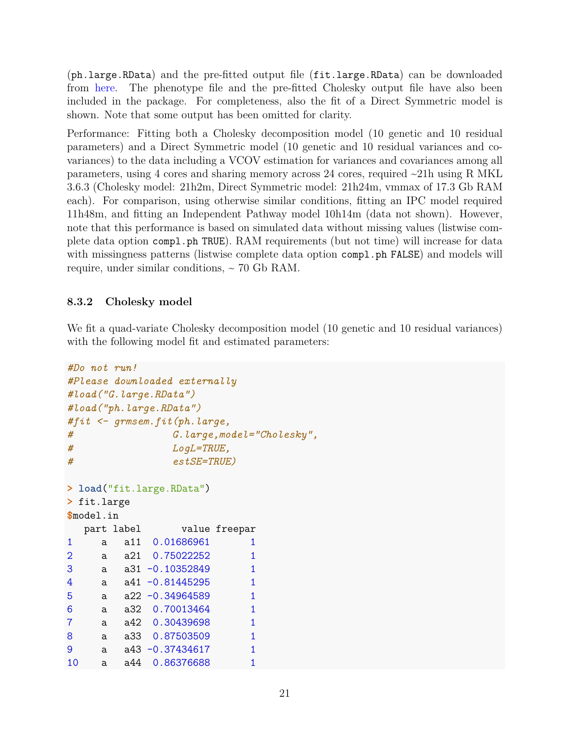(ph.large.RData) and the pre-fitted output file (fit.large.RData) can be downloaded from [here.](https://gitlab.gwdg.de/beate.stpourcain/grmsem_external) The phenotype file and the pre-fitted Cholesky output file have also been included in the package. For completeness, also the fit of a Direct Symmetric model is shown. Note that some output has been omitted for clarity.

Performance: Fitting both a Cholesky decomposition model (10 genetic and 10 residual parameters) and a Direct Symmetric model (10 genetic and 10 residual variances and covariances) to the data including a VCOV estimation for variances and covariances among all parameters, using 4 cores and sharing memory across 24 cores, required ~21h using R MKL 3.6.3 (Cholesky model: 21h2m, Direct Symmetric model: 21h24m, vmmax of 17.3 Gb RAM each). For comparison, using otherwise similar conditions, fitting an IPC model required 11h48m, and fitting an Independent Pathway model 10h14m (data not shown). However, note that this performance is based on simulated data without missing values (listwise complete data option compl.ph TRUE). RAM requirements (but not time) will increase for data with missingness patterns (listwise complete data option compl.ph FALSE) and models will require, under similar conditions,  $\sim$  70 Gb RAM.

### **8.3.2 Cholesky model**

We fit a quad-variate Cholesky decomposition model (10 genetic and 10 residual variances) with the following model fit and estimated parameters:

```
#Do not run!
#Please downloaded externally
#load("G.large.RData")
#load("ph.large.RData")
#fit <- grmsem.fit(ph.large,
# G.large,model="Cholesky",
# LogL=TRUE,
# estSE=TRUE)
> load("fit.large.RData")
> fit.large
$model.in
  part label value freepar
1 a a11 0.01686961 1
2 a a21 0.75022252 1
3 a a31 -0.10352849 1
4 a a41 -0.81445295 1
5 a a22 -0.34964589 1
6 a a32 0.70013464 1
7 a a42 0.30439698 1
8 a a33 0.87503509 1
9 a a43 -0.37434617 1
10 a a44 0.86376688 1
```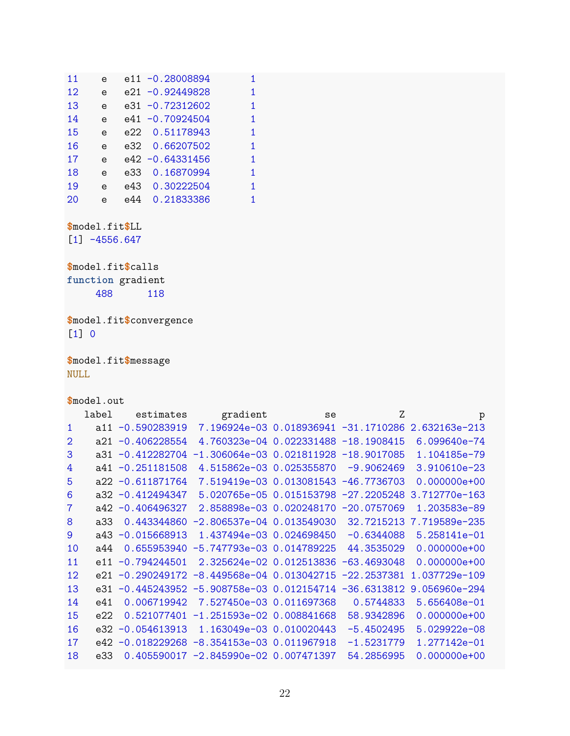| 11 | e            |      | e11 -0.28008894    | 1 |
|----|--------------|------|--------------------|---|
| 12 | e            |      | e21 -0.92449828    | 1 |
| 13 | e            |      | $e31 - 0.72312602$ | 1 |
| 14 | e            |      | e41 -0.70924504    | 1 |
| 15 | $\mathbf{e}$ | e22. | 0.51178943         | 1 |
| 16 | e            |      | e32 0.66207502     | 1 |
| 17 | e            |      | e42 -0.64331456    | 1 |
| 18 | $\mathbf{e}$ | e33  | 0.16870994         | 1 |
| 19 | e            |      | e43 0.30222504     | 1 |
| 20 | e            | e44  | 0.21833386         | 1 |

 $$$ model.fit $$$ LL

 $[1] -4556.647$ 

\$model.fit\$calls function gradient 488 118

\$model.fit\$convergence  $[1] 0$ 

\$model.fit\$message **NULL** 

\$model.out

|     | label | estimates           | gradient                                    | se | Z             | p                                                    |
|-----|-------|---------------------|---------------------------------------------|----|---------------|------------------------------------------------------|
| 1   | a 11  | $-0.590283919$      |                                             |    |               | 7.196924e-03  0.018936941 -31.1710286  2.632163e-213 |
| 2   | a21.  | $-0.406228554$      | 4.760323e-04 0.022331488 -18.1908415        |    |               | $6.099640e - 74$                                     |
| 3   | a31.  | $-0.412282704$      | $-1.306064e-03$ 0.021811928 $-18.9017085$   |    |               | 1.104185e-79                                         |
| 4   | a41   | $-0.251181508$      | 4.515862e-03 0.025355870                    |    | $-9.9062469$  | $3.910610e - 23$                                     |
| 5   |       | $a22 - 0.611871764$ | 7.519419e-03  0.013081543  -46.7736703      |    |               | $0.000000e+00$                                       |
| 6   |       | $a32 -0.412494347$  | 5.020765e-05 0.015153798                    |    | $-27.2205248$ | 3.712770e-163                                        |
| 7   |       | $a42 -0.406496327$  | 2.858898e-03 0.020248170                    |    | $-20.0757069$ | 1.203583e-89                                         |
| 8   | a33   | 0.443344860         | $-2.806537e-04$ 0.013549030                 |    | 32.7215213    | 7.719589e-235                                        |
| 9   | a43   | $-0.015668913$      | 1.437494e-03 0.024698450                    |    | $-0.6344088$  | $5.258141e-01$                                       |
| 10  | a44   | 0.655953940         | $-5.747793e-030.014789225$                  |    | 44.3535029    | $0.000000e+00$                                       |
| 11  | e11   | $-0.794244501$      | 2.325624e-02 0.012513836                    |    | $-63.4693048$ | $0.000000e+00$                                       |
| 12. | e21   |                     | $-0.290249172 -8.449568e-04 0.013042715$    |    | $-22.2537381$ | 1.037729e-109                                        |
| 13  | e31   |                     | $-0.445243952 -5.908758e-03 0.012154714$    |    | $-36.6313812$ | 9.056960e-294                                        |
| 14  | e41   | 0.006719942         | 7.527450e-03 0.011697368                    |    | 0.5744833     | 5.656408e-01                                         |
| 15  | e22   | 0.521077401         | $-1.251593e-02$ 0.008841668                 |    | 58.9342896    | $0.000000e+00$                                       |
| 16  | e32.  | $-0.054613913$      | 1.163049e-03 0.010020443                    |    | $-5.4502495$  | $5.029922e-08$                                       |
| 17  | e42   |                     | $-0.018229268 - 8.354153e - 03 0.011967918$ |    | $-1.5231779$  | 1.277142e-01                                         |
| 18  | e33   |                     | $0.405590017 - 2.845990e - 02 0.007471397$  |    | 54.2856995    | $0.000000e+00$                                       |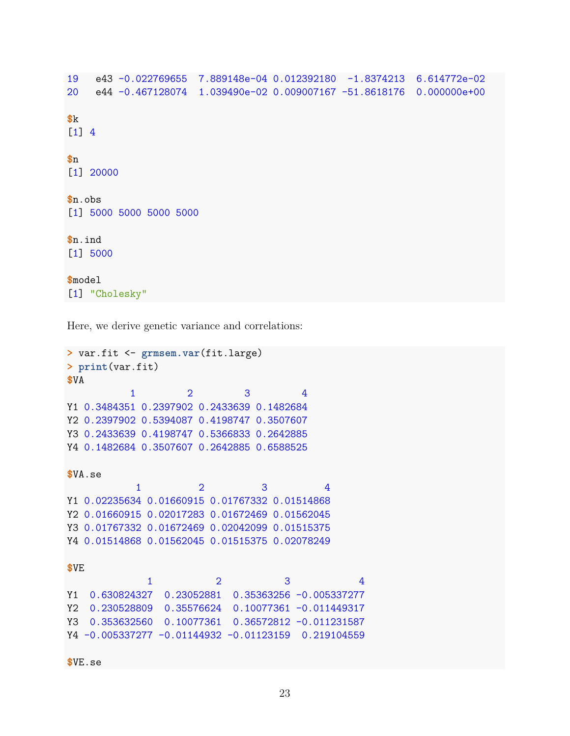```
19 e43 -0.022769655 7.889148e-04 0.012392180 -1.8374213 6.614772e-02
20 e44 -0.467128074 1.039490e-02 0.009007167 -51.8618176 0.000000e+00
$k
[1] 4
$n
[1] 20000
$n.obs
[1] 5000 5000 5000 5000
$n.ind
[1] 5000
$model
[1] "Cholesky"
```
Here, we derive genetic variance and correlations:

```
> var.fit <- grmsem.var(fit.large)
> print(var.fit)
$VA
          1 2 3 4
Y1 0.3484351 0.2397902 0.2433639 0.1482684
Y2 0.2397902 0.5394087 0.4198747 0.3507607
Y3 0.2433639 0.4198747 0.5366833 0.2642885
Y4 0.1482684 0.3507607 0.2642885 0.6588525
$VA.se
          1 2 3 4
Y1 0.02235634 0.01660915 0.01767332 0.01514868
Y2 0.01660915 0.02017283 0.01672469 0.01562045
Y3 0.01767332 0.01672469 0.02042099 0.01515375
Y4 0.01514868 0.01562045 0.01515375 0.02078249
$VE
            1 2 3 4
Y1 0.630824327 0.23052881 0.35363256 -0.005337277
Y2 0.230528809 0.35576624 0.10077361 -0.011449317
Y3 0.353632560 0.10077361 0.36572812 -0.011231587
Y4 -0.005337277 -0.01144932 -0.01123159 0.219104559
$VE.se
```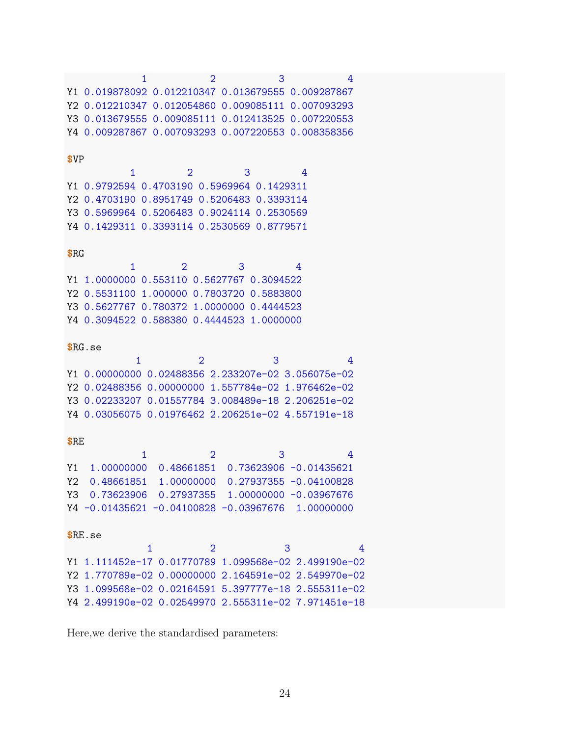|      | $\mathbf{1}$                                         |                | $\overline{2}$ | 3 |                                     | 4 |
|------|------------------------------------------------------|----------------|----------------|---|-------------------------------------|---|
|      | Y1 0.019878092 0.012210347 0.013679555 0.009287867   |                |                |   |                                     |   |
| Y2   | 0.012210347  0.012054860  0.009085111  0.007093293   |                |                |   |                                     |   |
|      | Y3 0.013679555 0.009085111 0.012413525 0.007220553   |                |                |   |                                     |   |
|      | Y4 0.009287867 0.007093293 0.007220553 0.008358356   |                |                |   |                                     |   |
|      |                                                      |                |                |   |                                     |   |
| \$VP |                                                      |                |                |   |                                     |   |
|      | 1                                                    | $\overline{2}$ |                | 3 | 4                                   |   |
|      | Y1 0.9792594 0.4703190 0.5969964 0.1429311           |                |                |   |                                     |   |
|      | Y2 0.4703190 0.8951749 0.5206483 0.3393114           |                |                |   |                                     |   |
|      | Y3 0.5969964 0.5206483 0.9024114 0.2530569           |                |                |   |                                     |   |
|      | Y4 0.1429311 0.3393114 0.2530569 0.8779571           |                |                |   |                                     |   |
|      |                                                      |                |                |   |                                     |   |
| \$RG |                                                      |                |                |   |                                     |   |
|      | 1                                                    | $\overline{2}$ |                | 3 | 4                                   |   |
|      | Y1 1.0000000 0.553110 0.5627767 0.3094522            |                |                |   |                                     |   |
|      | Y2 0.5531100 1.000000 0.7803720 0.5883800            |                |                |   |                                     |   |
|      | Y3 0.5627767 0.780372 1.0000000 0.4444523            |                |                |   |                                     |   |
|      | Y4 0.3094522 0.588380 0.4444523 1.0000000            |                |                |   |                                     |   |
|      |                                                      |                |                |   |                                     |   |
|      | \$RG.se                                              |                |                |   |                                     |   |
|      | 1                                                    |                | $\overline{2}$ | 3 |                                     | 4 |
| Y1   | 0.00000000 0.02488356 2.233207e-02 3.056075e-02      |                |                |   |                                     |   |
|      | Y2 0.02488356 0.00000000 1.557784e-02 1.976462e-02   |                |                |   |                                     |   |
|      | Y3 0.02233207 0.01557784 3.008489e-18 2.206251e-02   |                |                |   |                                     |   |
|      |                                                      |                |                |   |                                     |   |
|      | Y4 0.03056075 0.01976462 2.206251e-02 4.557191e-18   |                |                |   |                                     |   |
|      |                                                      |                |                |   |                                     |   |
| \$RE | $\mathbf{1}$                                         |                | $\overline{2}$ | 3 |                                     | 4 |
|      |                                                      |                |                |   |                                     |   |
| Υ1   | 1.00000000                                           |                |                |   | $0.48661851$ 0.73623906 -0.01435621 |   |
| Y2   | 0.48661851                                           | 1.00000000     |                |   | $0.27937355 - 0.04100828$           |   |
|      | Y3  0.73623906  0.27937355  1.00000000 -0.03967676   |                |                |   |                                     |   |
|      | Y4 -0.01435621 -0.04100828 -0.03967676 1.00000000    |                |                |   |                                     |   |
|      |                                                      |                |                |   |                                     |   |
|      | R.E.se                                               |                |                |   |                                     |   |
|      |                                                      | 1              | $\overline{2}$ |   | 3                                   | 4 |
|      | Y1 1.111452e-17 0.01770789 1.099568e-02 2.499190e-02 |                |                |   |                                     |   |
|      | Y2 1.770789e-02 0.00000000 2.164591e-02 2.549970e-02 |                |                |   |                                     |   |
|      | Y3 1.099568e-02 0.02164591 5.397777e-18 2.555311e-02 |                |                |   |                                     |   |
|      | Y4 2.499190e-02 0.02549970 2.555311e-02 7.971451e-18 |                |                |   |                                     |   |

Here,<br>we derive the standardised parameters:  $% \alpha$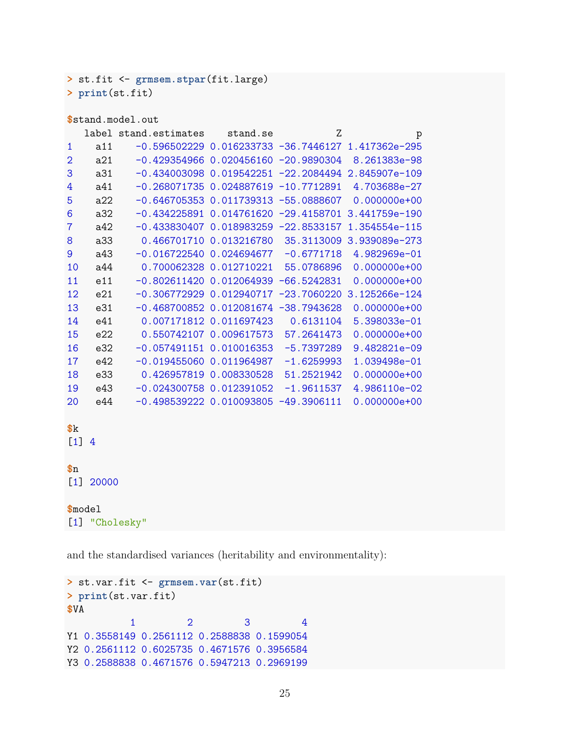**>** st.fit <- **grmsem.stpar**(fit.large) **> print**(st.fit)

| \$stand.model.out |                |                                          |                         |               |                                                        |  |  |  |
|-------------------|----------------|------------------------------------------|-------------------------|---------------|--------------------------------------------------------|--|--|--|
|                   |                | label stand.estimates                    | stand.se                | Ζ             | p                                                      |  |  |  |
| 1                 | a11            |                                          |                         |               | $-0.596502229$ 0.016233733 $-36.7446127$ 1.417362e-295 |  |  |  |
| $\overline{2}$    | a21            | $-0.4293549660.020456160 -20.9890304$    |                         |               | 8.261383e-98                                           |  |  |  |
| 3                 | a31            |                                          |                         |               | $-0.434003098$ 0.019542251 $-22.2084494$ 2.845907e-109 |  |  |  |
| 4                 | a41            | $-0.268071735 0.024887619 -10.7712891$   |                         |               | 4.703688e-27                                           |  |  |  |
| 5                 | a22            | $-0.646705353$ 0.011739313 $-55.0888607$ |                         |               | $0.000000e+00$                                         |  |  |  |
| 6                 | a32            |                                          |                         |               | $-0.434225891$ 0.014761620 $-29.4158701$ 3.441759e-190 |  |  |  |
| $\overline{7}$    | a42            | $-0.4338304070.018983259 -22.8533157$    |                         |               | 1.354554e-115                                          |  |  |  |
| 8                 | a33            |                                          |                         |               | 0.466701710  0.013216780  35.3113009  3.939089e-273    |  |  |  |
| 9                 | a43            | $-0.01672254000.024694677$               |                         | $-0.6771718$  | 4.982969e-01                                           |  |  |  |
| 10                | a44            |                                          | 0.700062328 0.012710221 | 55.0786896    | $0.000000e+00$                                         |  |  |  |
| 11                | e11            | $-0.80261142000.012064939 -66.5242831$   |                         |               | $0.000000e+00$                                         |  |  |  |
| 12                | e21            | $-0.30677292900.012940717$               |                         | $-23.7060220$ | 3.125266e-124                                          |  |  |  |
| 13                | e31            | $-0.468700852$ 0.012081674 $-38.7943628$ |                         |               | $0.000000e+00$                                         |  |  |  |
| 14                | e41            |                                          | 0.007171812 0.011697423 | 0.6131104     | 5.398033e-01                                           |  |  |  |
| 15                | e22            |                                          | 0.550742107 0.009617573 | 57.2641473    | $0.000000e+00$                                         |  |  |  |
| 16                | e32            | $-0.057491151$ $0.010016353$             |                         | $-5.7397289$  | 9.482821e-09                                           |  |  |  |
| 17                | e42            | $-0.01945506000.011964987$               |                         | $-1.6259993$  | 1.039498e-01                                           |  |  |  |
| 18                | e33            |                                          | 0.426957819 0.008330528 | 51.2521942    | $0.000000e+00$                                         |  |  |  |
| 19                | e43            | $-0.024300758$ 0.012391052               |                         | $-1.9611537$  | 4.986110e-02                                           |  |  |  |
| 20                | e44            | $-0.498539222$ 0.010093805 $-49.3906111$ |                         |               | $0.000000e+00$                                         |  |  |  |
|                   |                |                                          |                         |               |                                                        |  |  |  |
| k                 |                |                                          |                         |               |                                                        |  |  |  |
| $[1]$             | $\overline{4}$ |                                          |                         |               |                                                        |  |  |  |
| $\mathbf{\$n}$    |                |                                          |                         |               |                                                        |  |  |  |
| $[1]$             | 20000          |                                          |                         |               |                                                        |  |  |  |
|                   |                |                                          |                         |               |                                                        |  |  |  |
| \$model           |                |                                          |                         |               |                                                        |  |  |  |
|                   | [1] "Cholesky" |                                          |                         |               |                                                        |  |  |  |
|                   |                |                                          |                         |               |                                                        |  |  |  |

and the standardised variances (heritability and environmentality):

```
> st.var.fit <- grmsem.var(st.fit)
> print(st.var.fit)
$VA
          1 2 3 4
Y1 0.3558149 0.2561112 0.2588838 0.1599054
Y2 0.2561112 0.6025735 0.4671576 0.3956584
Y3 0.2588838 0.4671576 0.5947213 0.2969199
```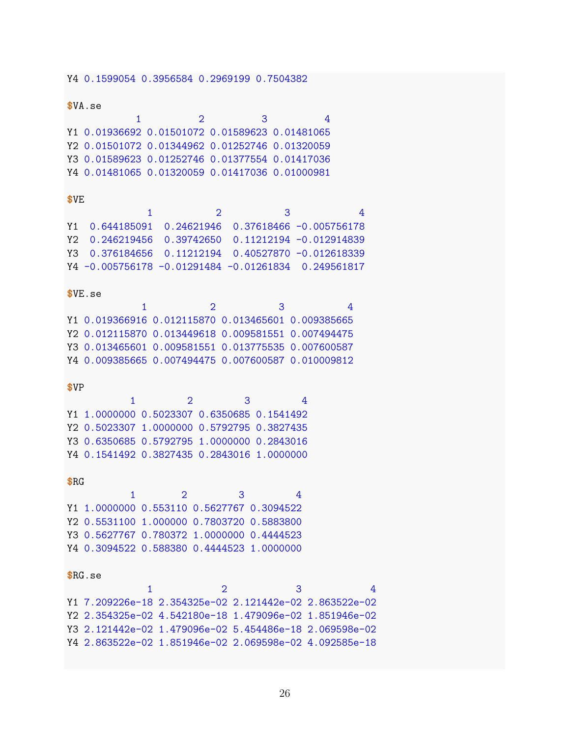Y4 0.1599054 0.3956584 0.2969199 0.7504382  $$VA. se$  $\overline{2}$ 3  $\overline{4}$  $\mathbf{1}$ Y1 0.01936692 0.01501072 0.01589623 0.01481065 Y2 0.01501072 0.01344962 0.01252746 0.01320059 Y3 0.01589623 0.01252746 0.01377554 0.01417036 Y4 0.01481065 0.01320059 0.01417036 0.01000981 \$VE  $\mathbf{1}$  $\overline{2}$  $\mathcal{B}$ 4 Y1 0.644185091 0.24621946 0.37618466 -0.005756178 Y2 0.246219456 0.39742650 0.11212194 -0.012914839 Y3 0.376184656 0.11212194 0.40527870 -0.012618339 Y4 -0.005756178 -0.01291484 -0.01261834 0.249561817  $$VE.$ se  $\mathbf{1}$  $\overline{2}$ 3  $\overline{4}$ Y1 0.019366916 0.012115870 0.013465601 0.009385665 Y2 0.012115870 0.013449618 0.009581551 0.007494475 Y3 0.013465601 0.009581551 0.013775535 0.007600587 Y4 0.009385665 0.007494475 0.007600587 0.010009812  $$VP$  $2<sup>1</sup>$ 3  $\overline{4}$  $\mathbf{1}$ Y1 1.0000000 0.5023307 0.6350685 0.1541492 Y2 0.5023307 1.0000000 0.5792795 0.3827435 Y3 0.6350685 0.5792795 1.0000000 0.2843016 Y4 0.1541492 0.3827435 0.2843016 1.0000000  $$RG$  $\overline{2}$  $\mathbf{1}$ 3  $\overline{4}$ Y1 1.0000000 0.553110 0.5627767 0.3094522 Y2 0.5531100 1.000000 0.7803720 0.5883800 Y3 0.5627767 0.780372 1.0000000 0.4444523 Y4 0.3094522 0.588380 0.4444523 1.0000000  $$RG.se$  $\mathbf{1}$  $\overline{2}$ 3 4 Y1 7.209226e-18 2.354325e-02 2.121442e-02 2.863522e-02 Y2 2.354325e-02 4.542180e-18 1.479096e-02 1.851946e-02 Y3 2.121442e-02 1.479096e-02 5.454486e-18 2.069598e-02 Y4 2.863522e-02 1.851946e-02 2.069598e-02 4.092585e-18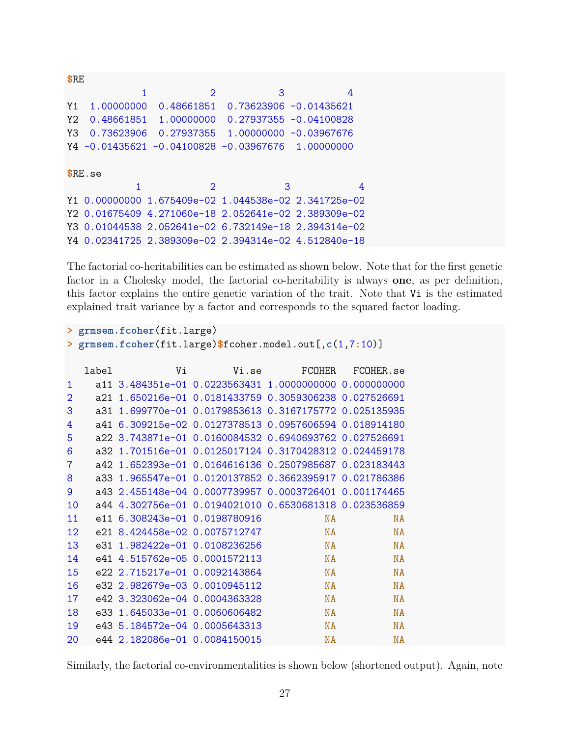| <b>SRE</b> |            |                             |                                                        |                                                      |
|------------|------------|-----------------------------|--------------------------------------------------------|------------------------------------------------------|
|            | 1          | $\mathcal{D}$               | 3                                                      | 4                                                    |
| Y1         | 1.00000000 |                             | $0.48661851$ $0.73623906$ $-0.01435621$                |                                                      |
| Y2.        |            |                             | $0.48661851$ 1.00000000 0.27937355 -0.04100828         |                                                      |
| Y3         |            |                             | $0.73623906$ $0.27937355$ 1.00000000 -0.03967676       |                                                      |
|            |            |                             | $Y4 - 0.01435621 - 0.04100828 - 0.03967676$ 1.00000000 |                                                      |
|            |            |                             |                                                        |                                                      |
|            | R.E.se     |                             |                                                        |                                                      |
|            |            | $\mathcal{D}_{\mathcal{L}}$ | 3                                                      | 4                                                    |
|            |            |                             |                                                        | Y1 0.00000000 1.675409e-02 1.044538e-02 2.341725e-02 |
|            |            |                             |                                                        | Y2 0.01675409 4.271060e-18 2.052641e-02 2.389309e-02 |
|            |            |                             |                                                        | Y3 0.01044538 2.052641e-02 6.732149e-18 2.394314e-02 |
|            |            |                             | Y4 0.02341725 2.389309e-02 2.394314e-02 4.512840e-18   |                                                      |

The factorial co-heritabilities can be estimated as shown below. Note that for the first genetic factor in a Cholesky model, the factorial co-heritability is always one, as per definition, this factor explains the entire genetic variation of the trait. Note that Vi is the estimated explained trait variance by a factor and corresponds to the squared factor loading.

```
> grmsem.fcoher(fit.large)
> grmsem.fcoher(fit.large)$fcoher.model.out[,c(1,7:10)]
```

|                | label | Vi                                                     | Vi.se                                                 | <b>FCOHER</b> | FCOHER.se |
|----------------|-------|--------------------------------------------------------|-------------------------------------------------------|---------------|-----------|
| 1              |       | a11 3.484351e-01 0.0223563431 1.0000000000 0.000000000 |                                                       |               |           |
| $\overline{2}$ | a21.  |                                                        | 1.650216e-01  0.0181433759  0.3059306238  0.027526691 |               |           |
| 3              | a31.  |                                                        | 1.699770e-01  0.0179853613  0.3167175772  0.025135935 |               |           |
| 4              | a41.  |                                                        | 6.309215e-02 0.0127378513 0.0957606594 0.018914180    |               |           |
| 5              |       | a22 3.743871e-01 0.0160084532 0.6940693762 0.027526691 |                                                       |               |           |
| 6              |       | a32 1.701516e-01 0.0125017124 0.3170428312 0.024459178 |                                                       |               |           |
| $\overline{7}$ | a42.  | 1.652393e-01  0.0164616136  0.2507985687  0.023183443  |                                                       |               |           |
| 8              | a33.  |                                                        | 1.965547e-01  0.0120137852  0.3662395917  0.021786386 |               |           |
| 9              |       | a43 2.455148e-04 0.0007739957 0.0003726401 0.001174465 |                                                       |               |           |
| 10             |       | a44 4.302756e-01 0.0194021010 0.6530681318 0.023536859 |                                                       |               |           |
| 11             |       | e11 6.308243e-01 0.0198780916                          |                                                       | <b>NA</b>     | <b>NA</b> |
| 12             | e21.  | 8.424458e-02.0.0075712747                              |                                                       | <b>NA</b>     | <b>NA</b> |
| 13             | e31   | 1.982422e-01 0.0108236256                              |                                                       | <b>NA</b>     | <b>NA</b> |
| 14             |       | e41 4.515762e-05 0.0001572113                          |                                                       | <b>NA</b>     | <b>NA</b> |
| 15             |       | e22 2.715217e-01 0.0092143864                          |                                                       | <b>NA</b>     | <b>NA</b> |
| 16             |       | e32 2.982679e-03 0.0010945112                          |                                                       | <b>NA</b>     | <b>NA</b> |
| 17             | e42.  | $3.323062e-04$ 0.0004363328                            |                                                       | <b>NA</b>     | <b>NA</b> |
| 18             | e33   | 1.645033e-01 0.0060606482                              |                                                       | <b>NA</b>     | <b>NA</b> |
| 19             | e43.  | 5.184572e-04 0.0005643313                              |                                                       | <b>NA</b>     | <b>NA</b> |
| 20             |       | e44 2.182086e-01 0.0084150015                          |                                                       | <b>NA</b>     | <b>NA</b> |

Similarly, the factorial co-environmentalities is shown below (shortened output). Again, note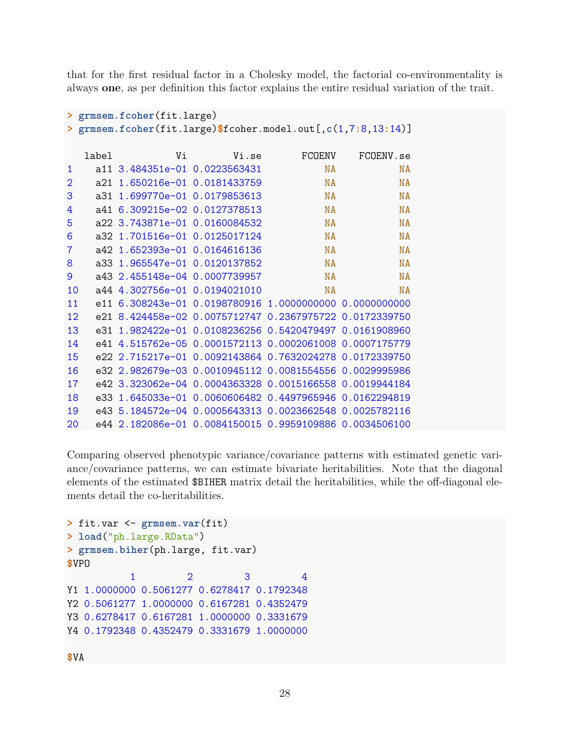that for the first residual factor in a Cholesky model, the factorial co-environmentality is always one, as per definition this factor explains the entire residual variation of the trait.

```
> grmsem.fcoher(fit.large)
> grmsem.fcoher(fit.large)$fcoher.model.out[,c(1,7:8,13:14)]
   label
                    Vi
                               Vi.se
                                            FCOENV
                                                       FCOENV.se
\mathbf{1}a11 3.484351e-01 0.0223563431
                                                 NA
                                                               NA
\overline{2}a21 1.650216e-01 0.0181433759
                                                 NA
                                                               NA
\overline{3}a31 1.699770e-01 0.0179853613
                                                 NA
                                                               NA
\overline{4}a41 6.309215e-02 0.0127378513
                                                 NA
                                                               NA
5
     a22 3.743871e-01 0.0160084532
                                                 NA
                                                               NA
6
     a32 1.701516e-01 0.0125017124
                                                 NA
                                                               NA
\overline{7}a42 1.652393e-01 0.0164616136
                                                 NA
                                                               NA
8
     a33 1.965547e-01 0.0120137852
                                                 NA
                                                               NA
\overline{9}a43 2.455148e-04 0.0007739957
                                                 NA
                                                               NA
10a44 4.302756e-01 0.0194021010
                                                 NA
                                                               NA
11e11 6.308243e-01 0.0198780916 1.0000000000 0.0000000000
12
     e21 8.424458e-02 0.0075712747 0.2367975722 0.0172339750
13
     e31 1.982422e-01 0.0108236256 0.5420479497 0.0161908960
14
     e41 4.515762e-05 0.0001572113 0.0002061008 0.0007175779
15
     e22 2.715217e-01 0.0092143864 0.7632024278 0.0172339750
16
     e32 2.982679e-03 0.0010945112 0.0081554556 0.0029995986
17
     e42 3.323062e-04 0.0004363328 0.0015166558 0.0019944184
18
     e33 1.645033e-01 0.0060606482 0.4497965946 0.0162294819
19
     e43 5.184572e-04 0.0005643313 0.0023662548 0.0025782116
     e44 2.182086e-01 0.0084150015 0.9959109886 0.0034506100
20
```
Comparing observed phenotypic variance/covariance patterns with estimated genetic variance/covariance patterns, we can estimate bivariate heritabilities. Note that the diagonal elements of the estimated \$BIHER matrix detail the heritabilities, while the off-diagonal elements detail the co-heritabilities.

```
> fit.var \leq grmsem.var(fit)
> load("ph.large.RData")
> grmsem.biher(ph.large, fit.var)
$VPO3
            \mathbf{1}\overline{2}4
Y1 1.0000000 0.5061277 0.6278417 0.1792348
Y2 0.5061277 1.0000000 0.6167281 0.4352479
Y3 0.6278417 0.6167281 1.0000000 0.3331679
Y4 0.1792348 0.4352479 0.3331679 1.0000000
```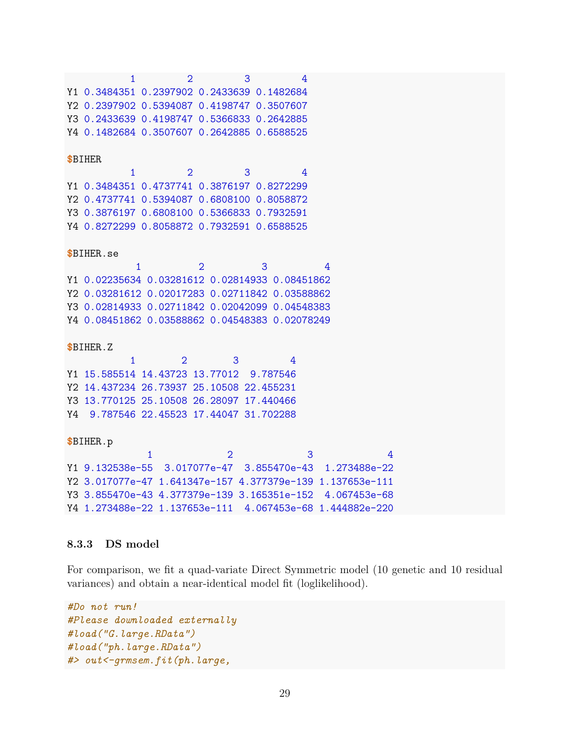$\mathbf{1}$  $2<sup>1</sup>$ 3 Y1 0.3484351 0.2397902 0.2433639 0.1482684 Y2 0.2397902 0.5394087 0.4198747 0.3507607 Y3 0.2433639 0.4198747 0.5366833 0.2642885 Y4 0.1482684 0.3507607 0.2642885 0.6588525 **\$BIHER**  $\mathbf{1}$  $\overline{2}$ 3 4 Y1 0.3484351 0.4737741 0.3876197 0.8272299 Y2 0.4737741 0.5394087 0.6808100 0.8058872 Y3 0.3876197 0.6808100 0.5366833 0.7932591 Y4 0.8272299 0.8058872 0.7932591 0.6588525  $$B$ THER.se  $\mathbf{1}$  $\overline{2}$  $\overline{3}$  $\overline{4}$ Y1 0.02235634 0.03281612 0.02814933 0.08451862 Y2 0.03281612 0.02017283 0.02711842 0.03588862 Y3 0.02814933 0.02711842 0.02042099 0.04548383 Y4 0.08451862 0.03588862 0.04548383 0.02078249 **\$BIHER.Z**  $\overline{2}$ 3  $\mathbf{1}$  $\overline{4}$ Y1 15.585514 14.43723 13.77012 9.787546 Y2 14.437234 26.73937 25.10508 22.455231 Y3 13.770125 25.10508 26.28097 17.440466 Y4 9.787546 22.45523 17.44047 31.702288 \$BIHER.p  $\overline{1}$  $\overline{2}$ 3  $\overline{4}$ Y1 9.132538e-55 3.017077e-47 3.855470e-43 1.273488e-22 Y2 3.017077e-47 1.641347e-157 4.377379e-139 1.137653e-111 Y3 3.855470e-43 4.377379e-139 3.165351e-152 4.067453e-68 Y4 1.273488e-22 1.137653e-111 4.067453e-68 1.444882e-220

#### 8.3.3 DS model

For comparison, we fit a quad-variate Direct Symmetric model (10 genetic and 10 residual variances) and obtain a near-identical model fit (loglikelihood).

```
#Do not run!
#Please downloaded externally
#load("G.large.RData")
#load("ph.large.RData")
#> out <- qrmsem. fit(ph. large,
```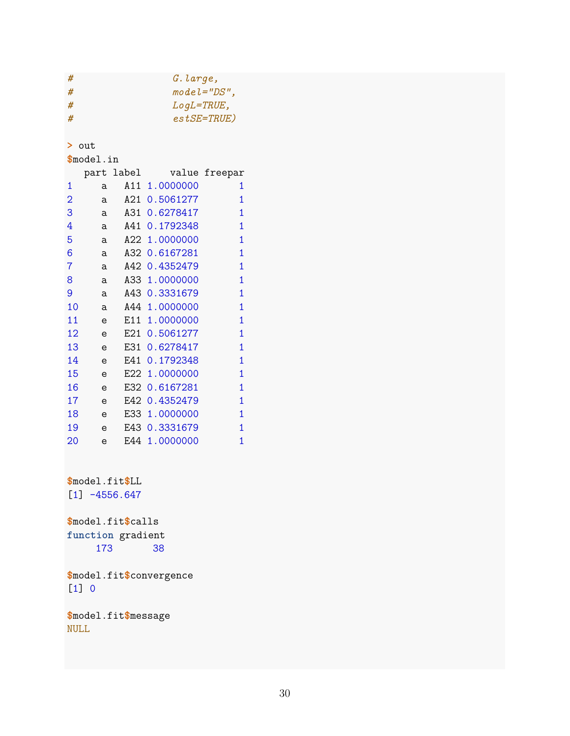G. large,  $\#$  $mode = "DS",$  $\#$  $LogL = TRUE,$  $#$  $est SE = TRUE$ )  $#$ 

 $>$  out

 $$$ model.in

|                |   | part label |           | value freepar |
|----------------|---|------------|-----------|---------------|
| 1              | a | A11        | 1.0000000 | 1             |
| $\overline{2}$ | a | A21 -      | 0.5061277 | 1             |
| 3              | a | A31        | 0.6278417 | 1             |
| 4              | a | A41        | 0.1792348 | 1             |
| 5              | a | A22 I      | 1.0000000 | 1             |
| 6              | a | A32        | 0.6167281 | 1             |
| 7              | a | A42        | 0.4352479 | 1             |
| 8              | a | A33 I      | 1.0000000 | 1             |
| 9              | a | A43        | 0.3331679 | 1             |
| 10             | a | A44        | 1.0000000 | 1             |
| 11             | e | E11 -      | 1.0000000 | 1             |
| 12             | e | E21        | 0.5061277 | 1             |
| 13             | e | E31        | 0.6278417 | 1             |
| 14             | e | E41        | 0.1792348 | 1             |
| 15             | e | E22        | 1.0000000 | 1             |
| 16             | e | E32        | 0.6167281 | 1             |
| 17             | e | E42 I      | 0.4352479 | 1             |
| 18             | e | F.33 I     | 1.0000000 | 1             |
| 19             | e | E43        | 0.3331679 | 1             |
| 20             | e | E44        | 1.0000000 | 1             |

\$model.fit\$LL  $[1] -4556.647$ 

\$model.fit\$calls function gradient 173 38

\$model.fit\$convergence  $[1] 0$ 

\$model.fit\$message **NULL**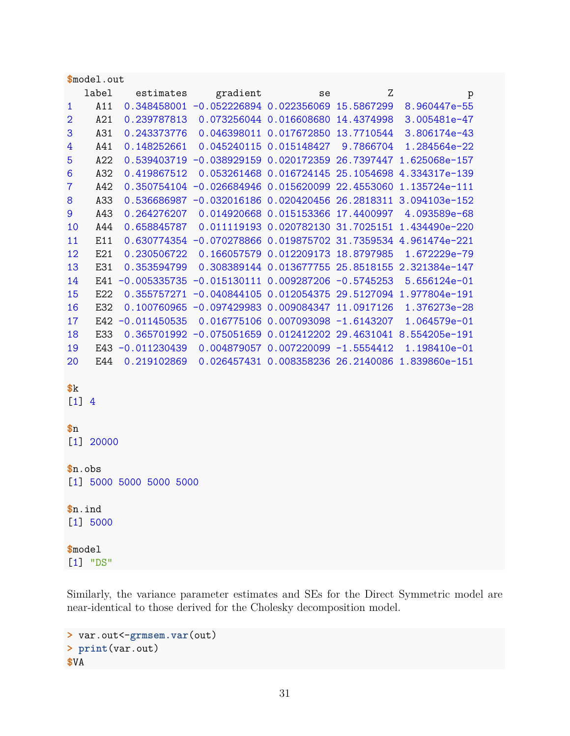|                  | \$model.out             |                  |                                                      |                                      |   |                                                               |  |  |  |
|------------------|-------------------------|------------------|------------------------------------------------------|--------------------------------------|---|---------------------------------------------------------------|--|--|--|
|                  | label                   | estimates        | gradient                                             | se                                   | Ζ | p                                                             |  |  |  |
| 1                | A11                     |                  | 0.348458001 -0.052226894 0.022356069 15.5867299      |                                      |   | 8.960447e-55                                                  |  |  |  |
| $\overline{2}$   | A21                     | 0.239787813      |                                                      | 0.073256044 0.016608680 14.4374998   |   | 3.005481e-47                                                  |  |  |  |
| 3                | A31                     | 0.243373776      |                                                      | 0.046398011 0.017672850 13.7710544   |   | 3.806174e-43                                                  |  |  |  |
| 4                | A41                     | 0.148252661      |                                                      | 0.045240115  0.015148427  9.7866704  |   | 1.284564e-22                                                  |  |  |  |
| 5                | A22                     |                  |                                                      |                                      |   | 0.539403719 -0.038929159 0.020172359 26.7397447 1.625068e-157 |  |  |  |
| $\boldsymbol{6}$ | A32                     | 0.419867512      |                                                      |                                      |   | 0.053261468  0.016724145  25.1054698  4.334317e-139           |  |  |  |
| $\overline{7}$   | A42                     |                  |                                                      |                                      |   | 0.350754104 -0.026684946 0.015620099 22.4553060 1.135724e-111 |  |  |  |
| $\bf 8$          | A33                     |                  |                                                      |                                      |   | 0.536686987 -0.032016186 0.020420456 26.2818311 3.094103e-152 |  |  |  |
| $\overline{9}$   | A43                     | 0.264276207      |                                                      | 0.014920668 0.015153366 17.4400997   |   | 4.093589e-68                                                  |  |  |  |
| 10               | A44                     | 0.658845787      |                                                      |                                      |   | 0.011119193  0.020782130  31.7025151  1.434490e-220           |  |  |  |
| 11               | E11                     |                  |                                                      |                                      |   | 0.630774354 -0.070278866 0.019875702 31.7359534 4.961474e-221 |  |  |  |
| 12               | E21                     | 0.230506722      |                                                      | 0.166057579 0.012209173 18.8797985   |   | 1.672229e-79                                                  |  |  |  |
| 13               | E31                     | 0.353594799      |                                                      |                                      |   | 0.308389144  0.013677755  25.8518155  2.321384e-147           |  |  |  |
| 14               | E41                     |                  | $-0.005335735 - 0.015130111 0.009287206 - 0.5745253$ |                                      |   | 5.656124e-01                                                  |  |  |  |
| 15               | E22                     |                  |                                                      |                                      |   | 0.355757271 -0.040844105 0.012054375 29.5127094 1.977804e-191 |  |  |  |
| 16               | E32                     |                  | 0.100760965 -0.097429983 0.009084347 11.0917126      |                                      |   | 1.376273e-28                                                  |  |  |  |
| 17               | E42                     | $-0.011450535$   |                                                      | 0.016775106 0.007093098 -1.6143207   |   | 1.064579e-01                                                  |  |  |  |
| 18               | E33                     |                  |                                                      |                                      |   | 0.365701992 -0.075051659 0.012412202 29.4631041 8.554205e-191 |  |  |  |
| 19               |                         | E43 -0.011230439 |                                                      | $0.004879057 0.007220099 -1.5554412$ |   | 1.198410e-01                                                  |  |  |  |
| 20               | E44                     | 0.219102869      |                                                      |                                      |   | 0.026457431  0.008358236  26.2140086  1.839860e-151           |  |  |  |
| k                |                         |                  |                                                      |                                      |   |                                                               |  |  |  |
| $[1] 4$          |                         |                  |                                                      |                                      |   |                                                               |  |  |  |
|                  |                         |                  |                                                      |                                      |   |                                                               |  |  |  |
| $\mathbf{\$n}$   |                         |                  |                                                      |                                      |   |                                                               |  |  |  |
|                  | $[1]$<br>20000          |                  |                                                      |                                      |   |                                                               |  |  |  |
|                  | $$n.$ obs               |                  |                                                      |                                      |   |                                                               |  |  |  |
|                  | [1] 5000 5000 5000 5000 |                  |                                                      |                                      |   |                                                               |  |  |  |
|                  | $n.$ ind                |                  |                                                      |                                      |   |                                                               |  |  |  |
|                  | [1] 5000                |                  |                                                      |                                      |   |                                                               |  |  |  |
|                  |                         |                  |                                                      |                                      |   |                                                               |  |  |  |

**\$**model [1] "DS"

Similarly, the variance parameter estimates and SEs for the Direct Symmetric model are near-identical to those derived for the Cholesky decomposition model.

```
> var.out<-grmsem.var(out)
> print(var.out)
$VA
```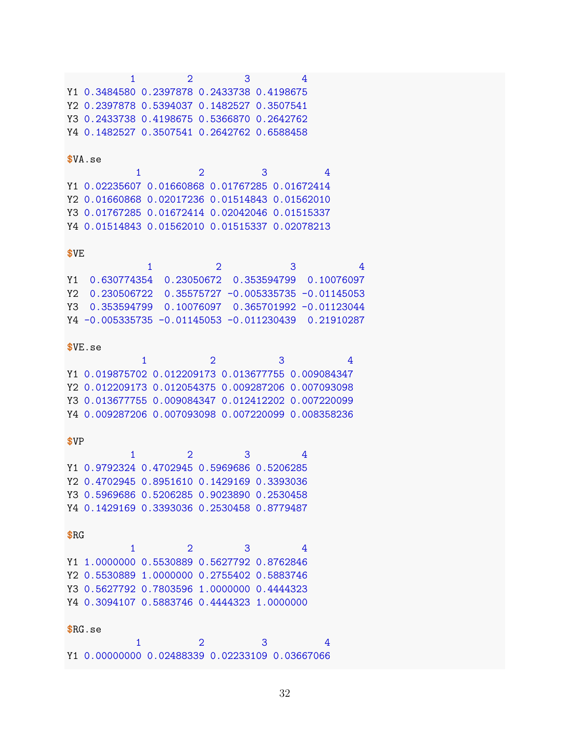$1 \qquad \qquad 2 \qquad \qquad 3 \qquad \qquad 4$ Y1 0.3484580 0.2397878 0.2433738 0.4198675 Y2 0.2397878 0.5394037 0.1482527 0.3507541 Y3 0.2433738 0.4198675 0.5366870 0.2642762 Y4 0.1482527 0.3507541 0.2642762 0.6588458

#### $$VA.se$

 $\sim$  4  $2<sup>1</sup>$  $\mathbf{1}$  $\mathbf{3}$ Y1 0.02235607 0.01660868 0.01767285 0.01672414 Y2 0.01660868 0.02017236 0.01514843 0.01562010 Y3 0.01767285 0.01672414 0.02042046 0.01515337 Y4 0.01514843 0.01562010 0.01515337 0.02078213

#### \$VE

|  | З                                                                            |  |
|--|------------------------------------------------------------------------------|--|
|  | Y1 0.630774354 0.23050672 0.353594799 0.10076097                             |  |
|  | $Y2 \quad 0.230506722 \quad 0.35575727 \quad -0.005335735 \quad -0.01145053$ |  |
|  | Y3  0.353594799  0.10076097  0.365701992  -0.01123044                        |  |
|  | $Y4 - 0.005335735 - 0.01145053 - 0.011230439 - 0.21910287$                   |  |

#### $$VE.se$

|  | Y1 0.019875702 0.012209173 0.013677755 0.009084347 |  |
|--|----------------------------------------------------|--|
|  | Y2 0.012209173 0.012054375 0.009287206 0.007093098 |  |
|  | Y3 0.013677755 0.009084347 0.012412202 0.007220099 |  |
|  | Y4 0.009287206 0.007093098 0.007220099 0.008358236 |  |

#### $$VP$

|  |                                            | २ |  |
|--|--------------------------------------------|---|--|
|  | Y1 0.9792324 0.4702945 0.5969686 0.5206285 |   |  |
|  | Y2 0.4702945 0.8951610 0.1429169 0.3393036 |   |  |
|  | Y3 0.5969686 0.5206285 0.9023890 0.2530458 |   |  |
|  | Y4 0.1429169 0.3393036 0.2530458 0.8779487 |   |  |

#### $$RG$

|  |                                            | -2 | 4 |
|--|--------------------------------------------|----|---|
|  | Y1 1.0000000 0.5530889 0.5627792 0.8762846 |    |   |
|  | Y2 0.5530889 1.0000000 0.2755402 0.5883746 |    |   |
|  | Y3 0.5627792 0.7803596 1.0000000 0.4444323 |    |   |
|  | Y4 0.3094107 0.5883746 0.4444323 1.0000000 |    |   |

#### $RG.se$

|  | Y1 0.00000000 0.02488339 0.02233109 0.03667066 |  |
|--|------------------------------------------------|--|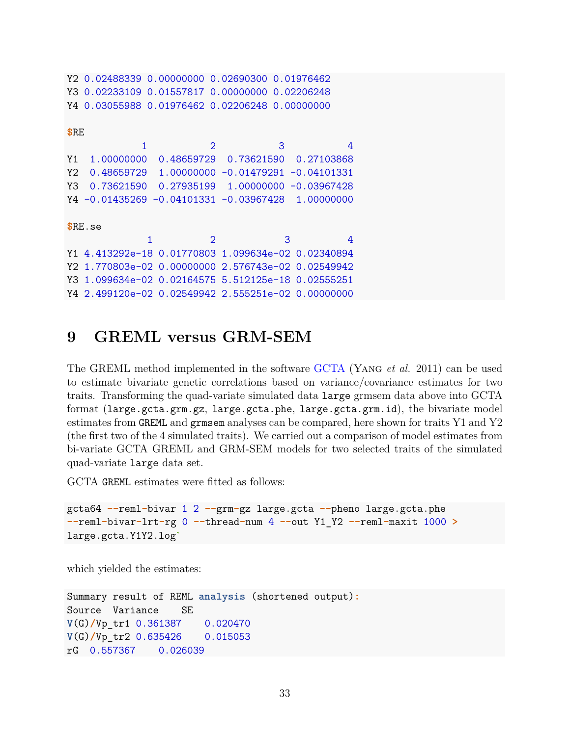```
Y2 0.02488339 0.00000000 0.02690300 0.01976462
Y3 0.02233109 0.01557817 0.00000000 0.02206248
Y4 0.03055988 0.01976462 0.02206248 0.00000000
$RE
           1 2 3 4
Y1 1.00000000 0.48659729 0.73621590 0.27103868
Y2 0.48659729 1.00000000 -0.01479291 -0.04101331
Y3 0.73621590 0.27935199 1.00000000 -0.03967428
Y4 -0.01435269 -0.04101331 -0.03967428 1.00000000
$RE.se
            1 2 3 4
Y1 4.413292e-18 0.01770803 1.099634e-02 0.02340894
Y2 1.770803e-02 0.00000000 2.576743e-02 0.02549942
Y3 1.099634e-02 0.02164575 5.512125e-18 0.02555251
Y4 2.499120e-02 0.02549942 2.555251e-02 0.00000000
```
# <span id="page-32-0"></span>**9 GREML versus GRM-SEM**

The GREML method implemented in the software [GCTA](https://cnsgenomics.com/software/gcta/) (Yang *et al.* 2011) can be used to estimate bivariate genetic correlations based on variance/covariance estimates for two traits. Transforming the quad-variate simulated data large grmsem data above into GCTA format (large.gcta.grm.gz, large.gcta.phe, large.gcta.grm.id), the bivariate model estimates from GREML and grmsem analyses can be compared, here shown for traits Y1 and Y2 (the first two of the 4 simulated traits). We carried out a comparison of model estimates from bi-variate GCTA GREML and GRM-SEM models for two selected traits of the simulated quad-variate large data set.

GCTA GREML estimates were fitted as follows:

```
gcta64 --reml-bivar 1 2 --grm-gz large.gcta --pheno large.gcta.phe
--reml-bivar-lrt-rg 0 --thread-num 4 --out Y1_Y2 --reml-maxit 1000 >
large.gcta.Y1Y2.log`
```
which yielded the estimates:

```
Summary result of REML analysis (shortened output):
Source Variance SE
V(G)/Vp_tr1 0.361387 0.020470
V(G)/Vp_tr2 0.635426 0.015053
rG 0.557367 0.026039
```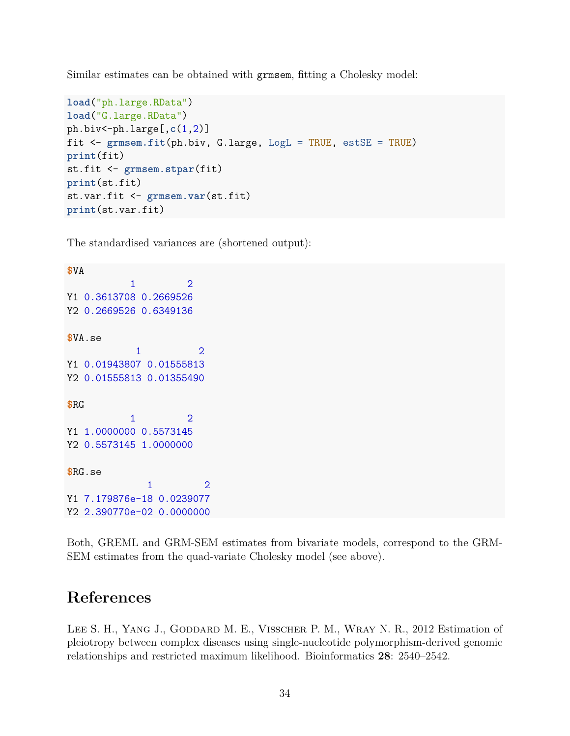Similar estimates can be obtained with grmsem, fitting a Cholesky model:

```
load("ph.large.RData")
load("G.large.RData")
ph.biv<-ph.large[,c(1,2)]
fit <- grmsem.fit(ph.biv, G.large, LogL = TRUE, estSE = TRUE)
print(fit)
st.fit <- grmsem.stpar(fit)
print(st.fit)
st.var.fit <- grmsem.var(st.fit)
print(st.var.fit)
```
The standardised variances are (shortened output):

```
$VA
          1 2
Y1 0.3613708 0.2669526
Y2 0.2669526 0.6349136
$VA.se
           1 2
Y1 0.01943807 0.01555813
Y2 0.01555813 0.01355490
$RG
          1 2
Y1 1.0000000 0.5573145
Y2 0.5573145 1.0000000
$RG.se
            1 2
Y1 7.179876e-18 0.0239077
Y2 2.390770e-02 0.0000000
```
Both, GREML and GRM-SEM estimates from bivariate models, correspond to the GRM-SEM estimates from the quad-variate Cholesky model (see above).

# <span id="page-33-0"></span>**References**

LEE S. H., YANG J., GODDARD M. E., VISSCHER P. M., WRAY N. R., 2012 Estimation of pleiotropy between complex diseases using single-nucleotide polymorphism-derived genomic relationships and restricted maximum likelihood. Bioinformatics **28**: 2540–2542.